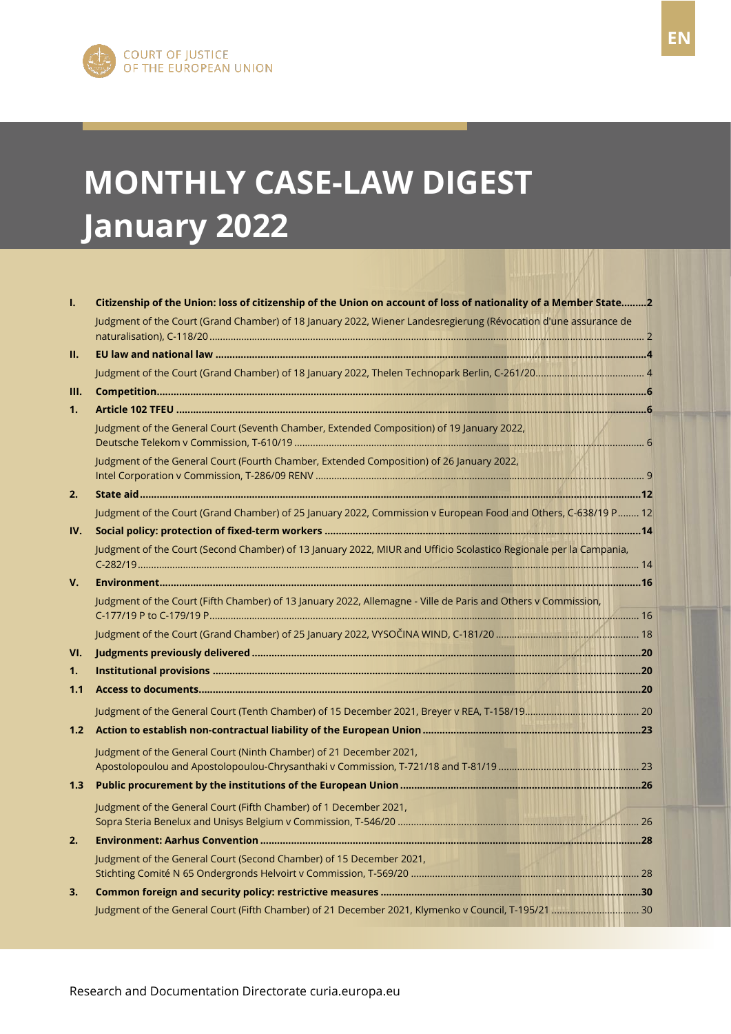# **MONTHLY CASE-LAW DIGEST January 2022**

| ı.             | Citizenship of the Union: loss of citizenship of the Union on account of loss of nationality of a Member State2   |  |
|----------------|-------------------------------------------------------------------------------------------------------------------|--|
|                | Judgment of the Court (Grand Chamber) of 18 January 2022, Wiener Landesregierung (Révocation d'une assurance de   |  |
| П.             |                                                                                                                   |  |
|                |                                                                                                                   |  |
| Ш.             |                                                                                                                   |  |
| 1 <sub>1</sub> |                                                                                                                   |  |
|                | Judgment of the General Court (Seventh Chamber, Extended Composition) of 19 January 2022,                         |  |
|                | Judgment of the General Court (Fourth Chamber, Extended Composition) of 26 January 2022,                          |  |
| 2.             |                                                                                                                   |  |
|                | Judgment of the Court (Grand Chamber) of 25 January 2022, Commission v European Food and Others, C-638/19 P 12    |  |
| IV.            |                                                                                                                   |  |
|                | Judgment of the Court (Second Chamber) of 13 January 2022, MIUR and Ufficio Scolastico Regionale per la Campania, |  |
| V.             |                                                                                                                   |  |
|                | Judgment of the Court (Fifth Chamber) of 13 January 2022, Allemagne - Ville de Paris and Others v Commission,     |  |
|                |                                                                                                                   |  |
| VI.            |                                                                                                                   |  |
| 1.             |                                                                                                                   |  |
| 1.1            |                                                                                                                   |  |
|                |                                                                                                                   |  |
| 1.2            |                                                                                                                   |  |
|                | Judgment of the General Court (Ninth Chamber) of 21 December 2021,                                                |  |
|                |                                                                                                                   |  |
| 1.3            |                                                                                                                   |  |
|                | Judgment of the General Court (Fifth Chamber) of 1 December 2021,                                                 |  |
|                |                                                                                                                   |  |
| 2.             |                                                                                                                   |  |
|                | Judgment of the General Court (Second Chamber) of 15 December 2021,                                               |  |
|                |                                                                                                                   |  |
| 3.             |                                                                                                                   |  |
|                | Judgment of the General Court (Fifth Chamber) of 21 December 2021, Klymenko v Council, T-195/21  30               |  |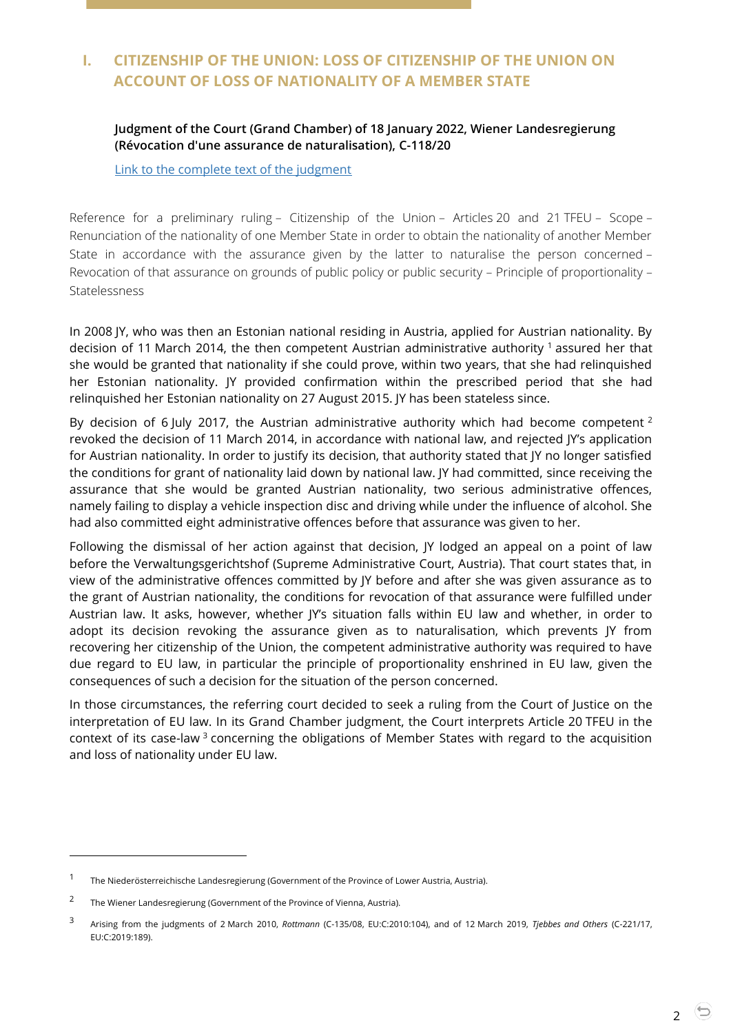# <span id="page-1-1"></span><span id="page-1-0"></span>**I. CITIZENSHIP OF THE UNION: LOSS OF CITIZENSHIP OF THE UNION ON ACCOUNT OF LOSS OF NATIONALITY OF A MEMBER STATE**

#### **Judgment of the Court (Grand Chamber) of 18 January 2022, Wiener Landesregierung (Révocation d'une assurance de naturalisation), C-118/20**

[Link to the complete text of the judgment](https://curia.europa.eu/juris/document/document.jsf;jsessionid=084513124920AD54BB9253ED49574240?text=&docid=252341&pageIndex=0&doclang=en&mode=lst&dir=&occ=first&part=1&cid=1473527)

Reference for a preliminary ruling – Citizenship of the Union – Articles 20 and 21 TFEU – Scope – Renunciation of the nationality of one Member State in order to obtain the nationality of another Member State in accordance with the assurance given by the latter to naturalise the person concerned – Revocation of that assurance on grounds of public policy or public security – Principle of proportionality – **Statelessness** 

In 2008 JY, who was then an Estonian national residing in Austria, applied for Austrian nationality. By decision of 11 March 2014, the then competent Austrian administrative authority  $\frac{1}{1}$  assured her that she would be granted that nationality if she could prove, within two years, that she had relinquished her Estonian nationality. JY provided confirmation within the prescribed period that she had relinquished her Estonian nationality on 27 August 2015. JY has been stateless since.

By decision of 6 July 2017, the Austrian administrative authority which had become competent  $2$ revoked the decision of 11 March 2014, in accordance with national law, and rejected JY's application for Austrian nationality. In order to justify its decision, that authority stated that JY no longer satisfied the conditions for grant of nationality laid down by national law. JY had committed, since receiving the assurance that she would be granted Austrian nationality, two serious administrative offences, namely failing to display a vehicle inspection disc and driving while under the influence of alcohol. She had also committed eight administrative offences before that assurance was given to her.

Following the dismissal of her action against that decision, JY lodged an appeal on a point of law before the Verwaltungsgerichtshof (Supreme Administrative Court, Austria). That court states that, in view of the administrative offences committed by JY before and after she was given assurance as to the grant of Austrian nationality, the conditions for revocation of that assurance were fulfilled under Austrian law. It asks, however, whether JY's situation falls within EU law and whether, in order to adopt its decision revoking the assurance given as to naturalisation, which prevents JY from recovering her citizenship of the Union, the competent administrative authority was required to have due regard to EU law, in particular the principle of proportionality enshrined in EU law, given the consequences of such a decision for the situation of the person concerned.

In those circumstances, the referring court decided to seek a ruling from the Court of Justice on the interpretation of EU law. In its Grand Chamber judgment, the Court interprets Article 20 TFEU in the context of its case-law<sup>3</sup> concerning the obligations of Member States with regard to the acquisition and loss of nationality under EU law.

<sup>1</sup> The Niederösterreichische Landesregierung (Government of the Province of Lower Austria, Austria).

<sup>2</sup> The Wiener Landesregierung (Government of the Province of Vienna, Austria).

<sup>3</sup> Arising from the judgments of 2 March 2010, *Rottmann* (C-135/08, EU:C:2010:104), and of 12 March 2019, *Tjebbes and Others* (C-221/17, EU:C:2019:189).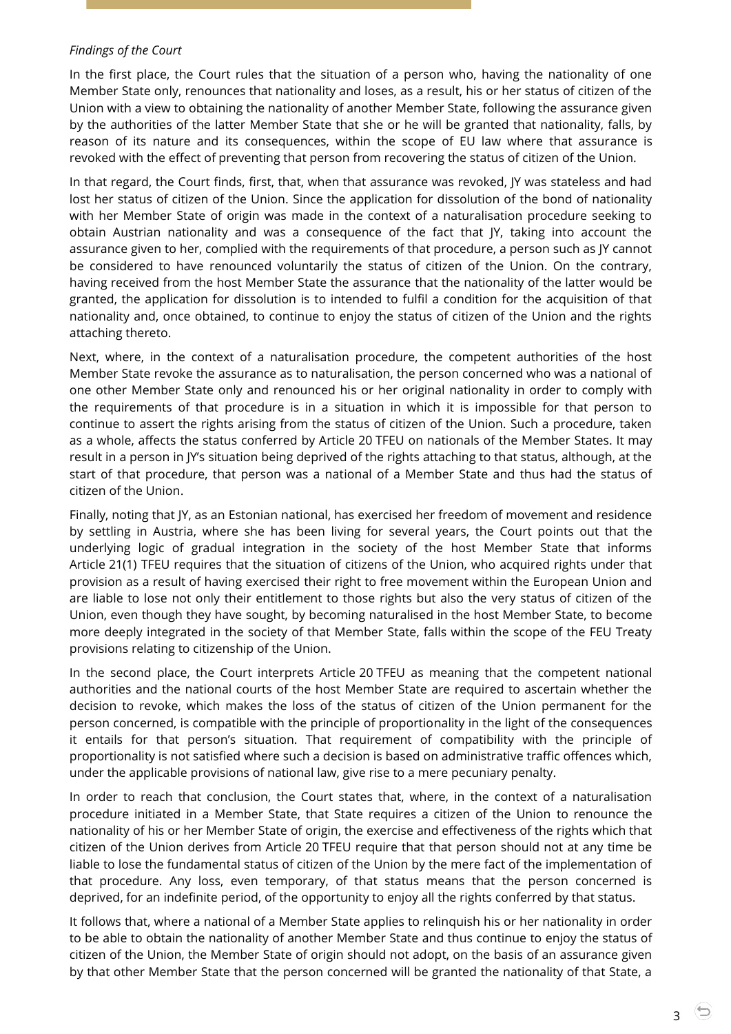#### *Findings of the Court*

In the first place, the Court rules that the situation of a person who, having the nationality of one Member State only, renounces that nationality and loses, as a result, his or her status of citizen of the Union with a view to obtaining the nationality of another Member State, following the assurance given by the authorities of the latter Member State that she or he will be granted that nationality, falls, by reason of its nature and its consequences, within the scope of EU law where that assurance is revoked with the effect of preventing that person from recovering the status of citizen of the Union.

In that regard, the Court finds, first, that, when that assurance was revoked, JY was stateless and had lost her status of citizen of the Union. Since the application for dissolution of the bond of nationality with her Member State of origin was made in the context of a naturalisation procedure seeking to obtain Austrian nationality and was a consequence of the fact that JY, taking into account the assurance given to her, complied with the requirements of that procedure, a person such as JY cannot be considered to have renounced voluntarily the status of citizen of the Union. On the contrary, having received from the host Member State the assurance that the nationality of the latter would be granted, the application for dissolution is to intended to fulfil a condition for the acquisition of that nationality and, once obtained, to continue to enjoy the status of citizen of the Union and the rights attaching thereto.

Next, where, in the context of a naturalisation procedure, the competent authorities of the host Member State revoke the assurance as to naturalisation, the person concerned who was a national of one other Member State only and renounced his or her original nationality in order to comply with the requirements of that procedure is in a situation in which it is impossible for that person to continue to assert the rights arising from the status of citizen of the Union. Such a procedure, taken as a whole, affects the status conferred by Article 20 TFEU on nationals of the Member States. It may result in a person in JY's situation being deprived of the rights attaching to that status, although, at the start of that procedure, that person was a national of a Member State and thus had the status of citizen of the Union.

Finally, noting that JY, as an Estonian national, has exercised her freedom of movement and residence by settling in Austria, where she has been living for several years, the Court points out that the underlying logic of gradual integration in the society of the host Member State that informs Article 21(1) TFEU requires that the situation of citizens of the Union, who acquired rights under that provision as a result of having exercised their right to free movement within the European Union and are liable to lose not only their entitlement to those rights but also the very status of citizen of the Union, even though they have sought, by becoming naturalised in the host Member State, to become more deeply integrated in the society of that Member State, falls within the scope of the FEU Treaty provisions relating to citizenship of the Union.

In the second place, the Court interprets Article 20 TFEU as meaning that the competent national authorities and the national courts of the host Member State are required to ascertain whether the decision to revoke, which makes the loss of the status of citizen of the Union permanent for the person concerned, is compatible with the principle of proportionality in the light of the consequences it entails for that person's situation. That requirement of compatibility with the principle of proportionality is not satisfied where such a decision is based on administrative traffic offences which, under the applicable provisions of national law, give rise to a mere pecuniary penalty.

In order to reach that conclusion, the Court states that, where, in the context of a naturalisation procedure initiated in a Member State, that State requires a citizen of the Union to renounce the nationality of his or her Member State of origin, the exercise and effectiveness of the rights which that citizen of the Union derives from Article 20 TFEU require that that person should not at any time be liable to lose the fundamental status of citizen of the Union by the mere fact of the implementation of that procedure. Any loss, even temporary, of that status means that the person concerned is deprived, for an indefinite period, of the opportunity to enjoy all the rights conferred by that status.

It follows that, where a national of a Member State applies to relinquish his or her nationality in order to be able to obtain the nationality of another Member State and thus continue to enjoy the status of citizen of the Union, the Member State of origin should not adopt, on the basis of an assurance given by that other Member State that the person concerned will be granted the nationality of that State, a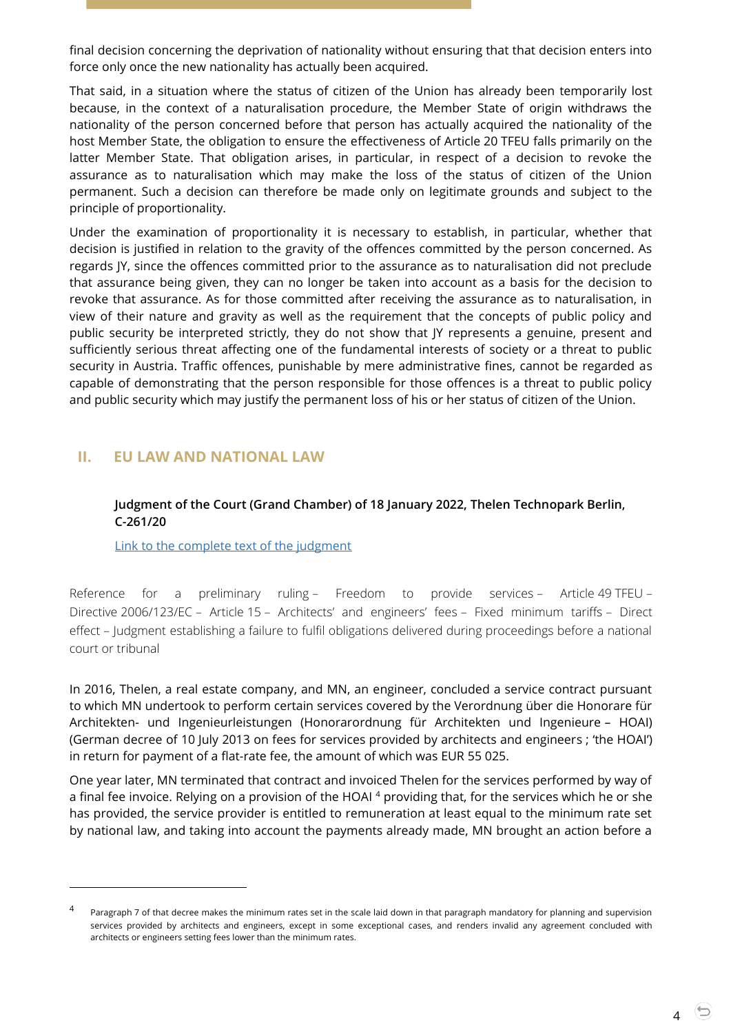final decision concerning the deprivation of nationality without ensuring that that decision enters into force only once the new nationality has actually been acquired.

That said, in a situation where the status of citizen of the Union has already been temporarily lost because, in the context of a naturalisation procedure, the Member State of origin withdraws the nationality of the person concerned before that person has actually acquired the nationality of the host Member State, the obligation to ensure the effectiveness of Article 20 TFEU falls primarily on the latter Member State. That obligation arises, in particular, in respect of a decision to revoke the assurance as to naturalisation which may make the loss of the status of citizen of the Union permanent. Such a decision can therefore be made only on legitimate grounds and subject to the principle of proportionality.

Under the examination of proportionality it is necessary to establish, in particular, whether that decision is justified in relation to the gravity of the offences committed by the person concerned. As regards JY, since the offences committed prior to the assurance as to naturalisation did not preclude that assurance being given, they can no longer be taken into account as a basis for the decision to revoke that assurance. As for those committed after receiving the assurance as to naturalisation, in view of their nature and gravity as well as the requirement that the concepts of public policy and public security be interpreted strictly, they do not show that JY represents a genuine, present and sufficiently serious threat affecting one of the fundamental interests of society or a threat to public security in Austria. Traffic offences, punishable by mere administrative fines, cannot be regarded as capable of demonstrating that the person responsible for those offences is a threat to public policy and public security which may justify the permanent loss of his or her status of citizen of the Union.

#### <span id="page-3-1"></span><span id="page-3-0"></span>**II. EU LAW AND NATIONAL LAW**

 $\overline{a}$ 

#### **Judgment of the Court (Grand Chamber) of 18 January 2022, Thelen Technopark Berlin, C-261/20**

[Link to the complete text of the judgment](https://curia.europa.eu/juris/document/document.jsf;jsessionid=2F79497052636C6AC4654EEFC14F5BCB?text=&docid=252342&pageIndex=0&doclang=en&mode=lst&dir=&occ=first&part=1&cid=609061)

Reference for a preliminary ruling – Freedom to provide services – Article 49 TFEU – Directive 2006/123/EC – Article 15 – Architects' and engineers' fees – Fixed minimum tariffs – Direct effect – Judgment establishing a failure to fulfil obligations delivered during proceedings before a national court or tribunal

In 2016, Thelen, a real estate company, and MN, an engineer, concluded a service contract pursuant to which MN undertook to perform certain services covered by the Verordnung über die Honorare für Architekten- und Ingenieurleistungen (Honorarordnung für Architekten und Ingenieure – HOAI) (German decree of 10 July 2013 on fees for services provided by architects and engineers ; 'the HOAI') in return for payment of a flat-rate fee, the amount of which was EUR 55 025.

One year later, MN terminated that contract and invoiced Thelen for the services performed by way of a final fee invoice. Relying on a provision of the HOAI<sup>4</sup> providing that, for the services which he or she has provided, the service provider is entitled to remuneration at least equal to the minimum rate set by national law, and taking into account the payments already made, MN brought an action before a

4

<sup>4</sup> Paragraph 7 of that decree makes the minimum rates set in the scale laid down in that paragraph mandatory for planning and supervision services provided by architects and engineers, except in some exceptional cases, and renders invalid any agreement concluded with architects or engineers setting fees lower than the minimum rates.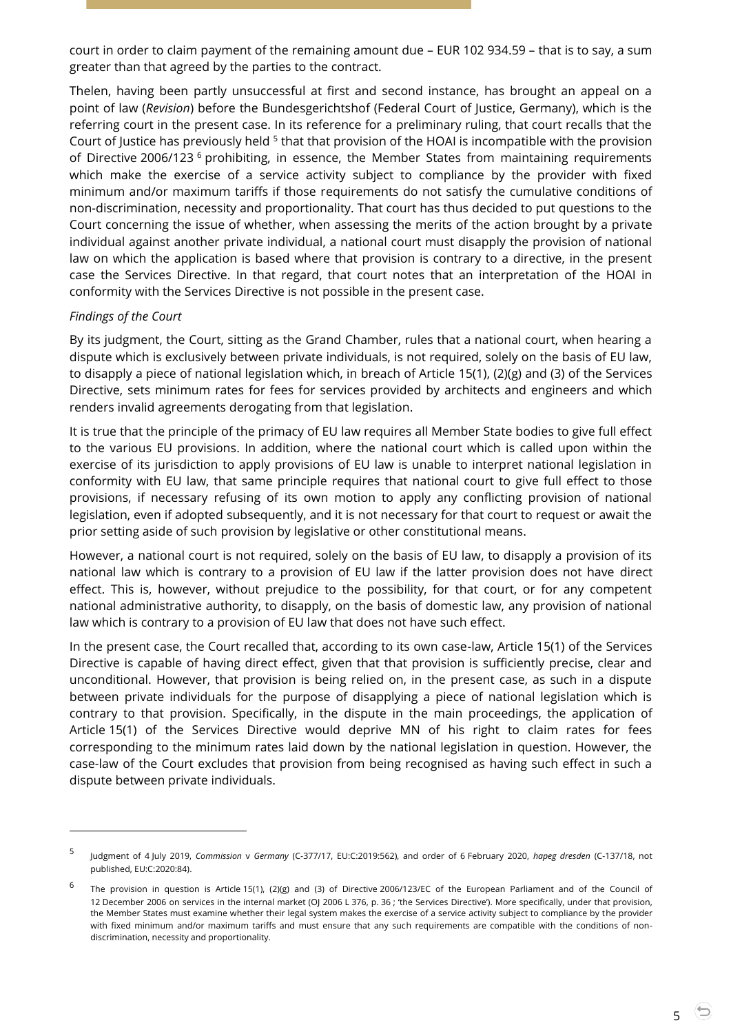court in order to claim payment of the remaining amount due – EUR 102 934.59 – that is to say, a sum greater than that agreed by the parties to the contract.

Thelen, having been partly unsuccessful at first and second instance, has brought an appeal on a point of law (*Revision*) before the Bundesgerichtshof (Federal Court of Justice, Germany), which is the referring court in the present case. In its reference for a preliminary ruling, that court recalls that the Court of Justice has previously held <sup>5</sup> that that provision of the HOAI is incompatible with the provision of Directive 2006/123 <sup>6</sup> prohibiting, in essence, the Member States from maintaining requirements which make the exercise of a service activity subject to compliance by the provider with fixed minimum and/or maximum tariffs if those requirements do not satisfy the cumulative conditions of non-discrimination, necessity and proportionality. That court has thus decided to put questions to the Court concerning the issue of whether, when assessing the merits of the action brought by a private individual against another private individual, a national court must disapply the provision of national law on which the application is based where that provision is contrary to a directive, in the present case the Services Directive. In that regard, that court notes that an interpretation of the HOAI in conformity with the Services Directive is not possible in the present case.

#### *Findings of the Court*

-

By its judgment, the Court, sitting as the Grand Chamber, rules that a national court, when hearing a dispute which is exclusively between private individuals, is not required, solely on the basis of EU law, to disapply a piece of national legislation which, in breach of Article 15(1), (2)(g) and (3) of the Services Directive, sets minimum rates for fees for services provided by architects and engineers and which renders invalid agreements derogating from that legislation.

It is true that the principle of the primacy of EU law requires all Member State bodies to give full effect to the various EU provisions. In addition, where the national court which is called upon within the exercise of its jurisdiction to apply provisions of EU law is unable to interpret national legislation in conformity with EU law, that same principle requires that national court to give full effect to those provisions, if necessary refusing of its own motion to apply any conflicting provision of national legislation, even if adopted subsequently, and it is not necessary for that court to request or await the prior setting aside of such provision by legislative or other constitutional means.

However, a national court is not required, solely on the basis of EU law, to disapply a provision of its national law which is contrary to a provision of EU law if the latter provision does not have direct effect. This is, however, without prejudice to the possibility, for that court, or for any competent national administrative authority, to disapply, on the basis of domestic law, any provision of national law which is contrary to a provision of EU law that does not have such effect.

In the present case, the Court recalled that, according to its own case-law, Article 15(1) of the Services Directive is capable of having direct effect, given that that provision is sufficiently precise, clear and unconditional. However, that provision is being relied on, in the present case, as such in a dispute between private individuals for the purpose of disapplying a piece of national legislation which is contrary to that provision. Specifically, in the dispute in the main proceedings, the application of Article 15(1) of the Services Directive would deprive MN of his right to claim rates for fees corresponding to the minimum rates laid down by the national legislation in question. However, the case-law of the Court excludes that provision from being recognised as having such effect in such a dispute between private individuals.

<sup>5</sup> Judgment of 4 July 2019, *Commission* v *Germany* (C-377/17, EU:C:2019:562), and order of 6 February 2020, *hapeg dresden* (C-137/18, not published, EU:C:2020:84).

<sup>6</sup> The provision in question is Article 15(1), (2)(g) and (3) of Directive 2006/123/EC of the European Parliament and of the Council of 12 December 2006 on services in the internal market (OJ 2006 L 376, p. 36 ; 'the Services Directive'). More specifically, under that provision, the Member States must examine whether their legal system makes the exercise of a service activity subject to compliance by the provider with fixed minimum and/or maximum tariffs and must ensure that any such requirements are compatible with the conditions of nondiscrimination, necessity and proportionality.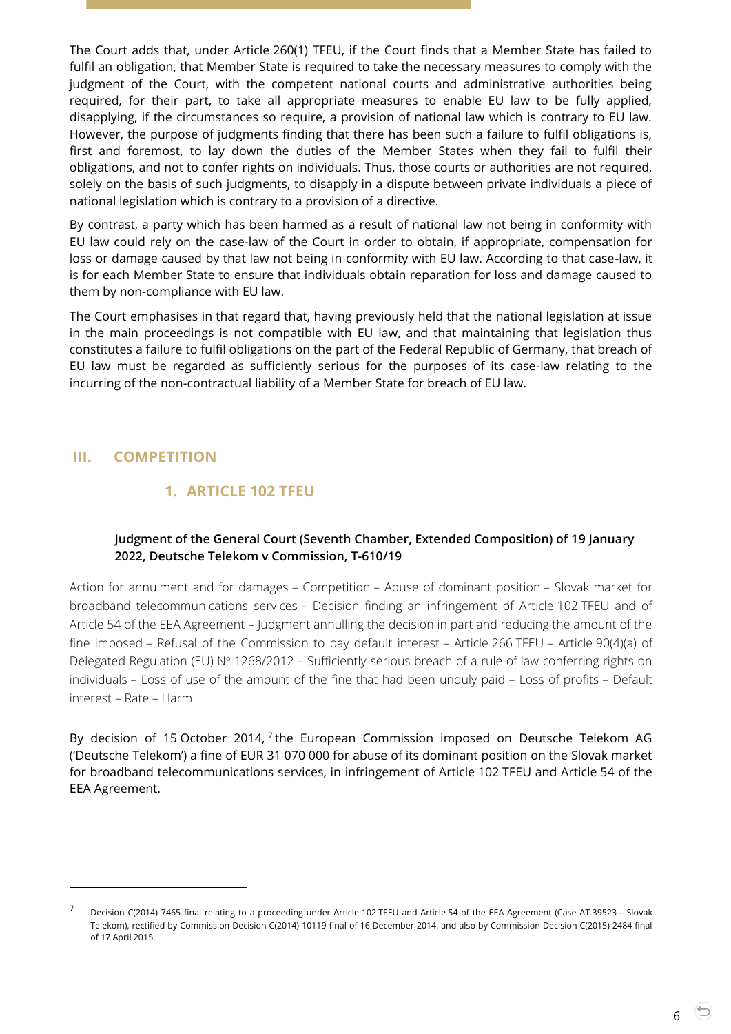The Court adds that, under Article 260(1) TFEU, if the Court finds that a Member State has failed to fulfil an obligation, that Member State is required to take the necessary measures to comply with the judgment of the Court, with the competent national courts and administrative authorities being required, for their part, to take all appropriate measures to enable EU law to be fully applied, disapplying, if the circumstances so require, a provision of national law which is contrary to EU law. However, the purpose of judgments finding that there has been such a failure to fulfil obligations is, first and foremost, to lay down the duties of the Member States when they fail to fulfil their obligations, and not to confer rights on individuals. Thus, those courts or authorities are not required, solely on the basis of such judgments, to disapply in a dispute between private individuals a piece of national legislation which is contrary to a provision of a directive.

By contrast, a party which has been harmed as a result of national law not being in conformity with EU law could rely on the case-law of the Court in order to obtain, if appropriate, compensation for loss or damage caused by that law not being in conformity with EU law. According to that case-law, it is for each Member State to ensure that individuals obtain reparation for loss and damage caused to them by non-compliance with EU law.

The Court emphasises in that regard that, having previously held that the national legislation at issue in the main proceedings is not compatible with EU law, and that maintaining that legislation thus constitutes a failure to fulfil obligations on the part of the Federal Republic of Germany, that breach of EU law must be regarded as sufficiently serious for the purposes of its case-law relating to the incurring of the non-contractual liability of a Member State for breach of EU law.

# <span id="page-5-2"></span><span id="page-5-1"></span><span id="page-5-0"></span>**III. COMPETITION**

 $\overline{a}$ 

# **1. ARTICLE 102 TFEU**

#### **Judgment of the General Court (Seventh Chamber, Extended Composition) of 19 January 2022, Deutsche Telekom v Commission, T-610/19**

Action for annulment and for damages – Competition – Abuse of dominant position – Slovak market for broadband telecommunications services – Decision finding an infringement of Article 102 TFEU and of Article 54 of the EEA Agreement – Judgment annulling the decision in part and reducing the amount of the fine imposed – Refusal of the Commission to pay default interest – Article 266 TFEU – Article 90(4)(a) of Delegated Regulation (EU) Nº 1268/2012 – Sufficiently serious breach of a rule of law conferring rights on individuals – Loss of use of the amount of the fine that had been unduly paid – Loss of profits – Default interest – Rate – Harm

By decision of 15 October 2014, <sup>7</sup> the European Commission imposed on Deutsche Telekom AG ('Deutsche Telekom') a fine of EUR 31 070 000 for abuse of its dominant position on the Slovak market for broadband telecommunications services, in infringement of Article 102 TFEU and Article 54 of the EEA Agreement.

<sup>7</sup> Decision C(2014) 7465 final relating to a proceeding under Article <sup>102</sup> TFEU and Article 54 of the EEA Agreement (Case AT.39523 – Slovak Telekom), rectified by Commission Decision C(2014) 10119 final of 16 December 2014, and also by Commission Decision C(2015) 2484 final of 17 April 2015.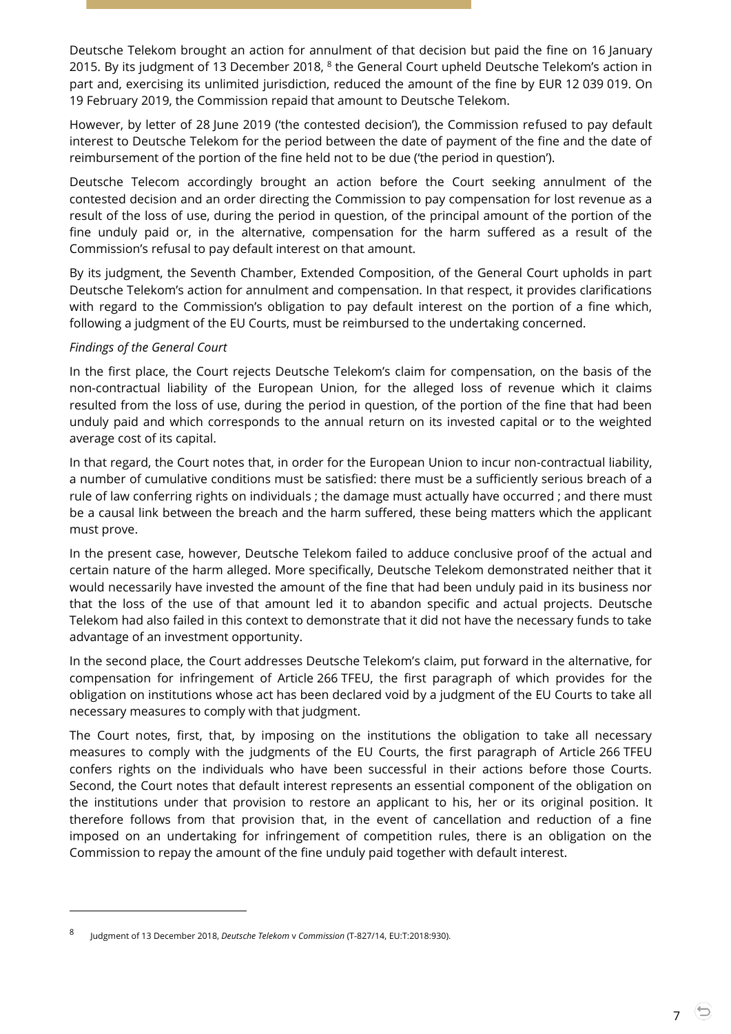Deutsche Telekom brought an action for annulment of that decision but paid the fine on 16 January 2015. By its judgment of 13 December 2018,  $8$  the General Court upheld Deutsche Telekom's action in part and, exercising its unlimited jurisdiction, reduced the amount of the fine by EUR 12 039 019. On 19 February 2019, the Commission repaid that amount to Deutsche Telekom.

However, by letter of 28 June 2019 ('the contested decision'), the Commission refused to pay default interest to Deutsche Telekom for the period between the date of payment of the fine and the date of reimbursement of the portion of the fine held not to be due ('the period in question').

Deutsche Telecom accordingly brought an action before the Court seeking annulment of the contested decision and an order directing the Commission to pay compensation for lost revenue as a result of the loss of use, during the period in question, of the principal amount of the portion of the fine unduly paid or, in the alternative, compensation for the harm suffered as a result of the Commission's refusal to pay default interest on that amount.

By its judgment, the Seventh Chamber, Extended Composition, of the General Court upholds in part Deutsche Telekom's action for annulment and compensation. In that respect, it provides clarifications with regard to the Commission's obligation to pay default interest on the portion of a fine which, following a judgment of the EU Courts, must be reimbursed to the undertaking concerned.

#### *Findings of the General Court*

 $\overline{a}$ 

In the first place, the Court rejects Deutsche Telekom's claim for compensation, on the basis of the non-contractual liability of the European Union, for the alleged loss of revenue which it claims resulted from the loss of use, during the period in question, of the portion of the fine that had been unduly paid and which corresponds to the annual return on its invested capital or to the weighted average cost of its capital.

In that regard, the Court notes that, in order for the European Union to incur non-contractual liability, a number of cumulative conditions must be satisfied: there must be a sufficiently serious breach of a rule of law conferring rights on individuals ; the damage must actually have occurred ; and there must be a causal link between the breach and the harm suffered, these being matters which the applicant must prove.

In the present case, however, Deutsche Telekom failed to adduce conclusive proof of the actual and certain nature of the harm alleged. More specifically, Deutsche Telekom demonstrated neither that it would necessarily have invested the amount of the fine that had been unduly paid in its business nor that the loss of the use of that amount led it to abandon specific and actual projects. Deutsche Telekom had also failed in this context to demonstrate that it did not have the necessary funds to take advantage of an investment opportunity.

In the second place, the Court addresses Deutsche Telekom's claim, put forward in the alternative, for compensation for infringement of Article 266 TFEU, the first paragraph of which provides for the obligation on institutions whose act has been declared void by a judgment of the EU Courts to take all necessary measures to comply with that judgment.

The Court notes, first, that, by imposing on the institutions the obligation to take all necessary measures to comply with the judgments of the EU Courts, the first paragraph of Article 266 TFEU confers rights on the individuals who have been successful in their actions before those Courts. Second, the Court notes that default interest represents an essential component of the obligation on the institutions under that provision to restore an applicant to his, her or its original position. It therefore follows from that provision that, in the event of cancellation and reduction of a fine imposed on an undertaking for infringement of competition rules, there is an obligation on the Commission to repay the amount of the fine unduly paid together with default interest.

<sup>8</sup> Judgment of 13 December 2018, *Deutsche Telekom* v *Commission* (T-827/14, EU:T:2018:930).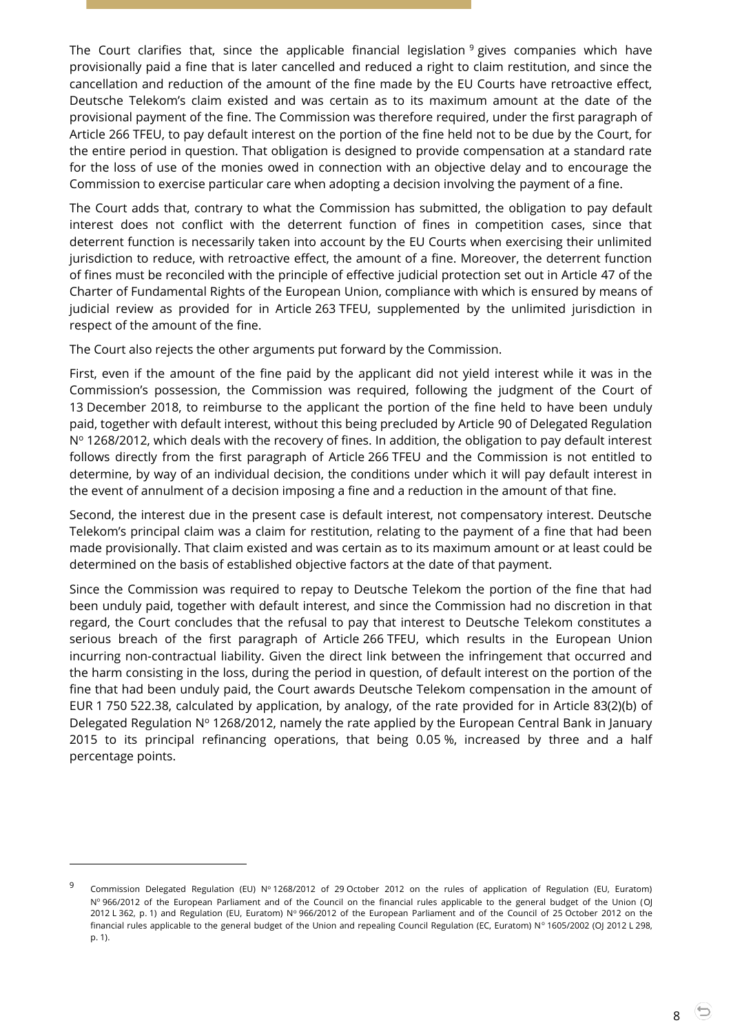The Court clarifies that, since the applicable financial legislation  $9$  gives companies which have provisionally paid a fine that is later cancelled and reduced a right to claim restitution, and since the cancellation and reduction of the amount of the fine made by the EU Courts have retroactive effect, Deutsche Telekom's claim existed and was certain as to its maximum amount at the date of the provisional payment of the fine. The Commission was therefore required, under the first paragraph of Article 266 TFEU, to pay default interest on the portion of the fine held not to be due by the Court, for the entire period in question. That obligation is designed to provide compensation at a standard rate for the loss of use of the monies owed in connection with an objective delay and to encourage the Commission to exercise particular care when adopting a decision involving the payment of a fine.

The Court adds that, contrary to what the Commission has submitted, the obligation to pay default interest does not conflict with the deterrent function of fines in competition cases, since that deterrent function is necessarily taken into account by the EU Courts when exercising their unlimited jurisdiction to reduce, with retroactive effect, the amount of a fine. Moreover, the deterrent function of fines must be reconciled with the principle of effective judicial protection set out in Article 47 of the Charter of Fundamental Rights of the European Union, compliance with which is ensured by means of judicial review as provided for in Article 263 TFEU, supplemented by the unlimited jurisdiction in respect of the amount of the fine.

The Court also rejects the other arguments put forward by the Commission.

First, even if the amount of the fine paid by the applicant did not yield interest while it was in the Commission's possession, the Commission was required, following the judgment of the Court of 13 December 2018, to reimburse to the applicant the portion of the fine held to have been unduly paid, together with default interest, without this being precluded by Article 90 of Delegated Regulation  $N<sup>o</sup>$  1268/2012, which deals with the recovery of fines. In addition, the obligation to pay default interest follows directly from the first paragraph of Article 266 TFEU and the Commission is not entitled to determine, by way of an individual decision, the conditions under which it will pay default interest in the event of annulment of a decision imposing a fine and a reduction in the amount of that fine.

Second, the interest due in the present case is default interest, not compensatory interest. Deutsche Telekom's principal claim was a claim for restitution, relating to the payment of a fine that had been made provisionally. That claim existed and was certain as to its maximum amount or at least could be determined on the basis of established objective factors at the date of that payment.

Since the Commission was required to repay to Deutsche Telekom the portion of the fine that had been unduly paid, together with default interest, and since the Commission had no discretion in that regard, the Court concludes that the refusal to pay that interest to Deutsche Telekom constitutes a serious breach of the first paragraph of Article 266 TFEU, which results in the European Union incurring non-contractual liability. Given the direct link between the infringement that occurred and the harm consisting in the loss, during the period in question, of default interest on the portion of the fine that had been unduly paid, the Court awards Deutsche Telekom compensation in the amount of EUR 1 750 522.38, calculated by application, by analogy, of the rate provided for in Article 83(2)(b) of Delegated Regulation  $N^{\circ}$  1268/2012, namely the rate applied by the European Central Bank in January 2015 to its principal refinancing operations, that being 0.05 %, increased by three and a half percentage points.

<sup>9</sup> Commission Delegated Regulation (EU) Nº 1268/2012 of 29 October 2012 on the rules of application of Regulation (EU, Euratom) Nº 966/2012 of the European Parliament and of the Council on the financial rules applicable to the general budget of the Union (OJ 2012 L 362, p. 1) and Regulation (EU, Euratom) Nº 966/2012 of the European Parliament and of the Council of 25 October 2012 on the financial rules applicable to the general budget of the Union and repealing Council Regulation (EC, Euratom) Nº 1605/2002 (OJ 2012 L 298, p. 1).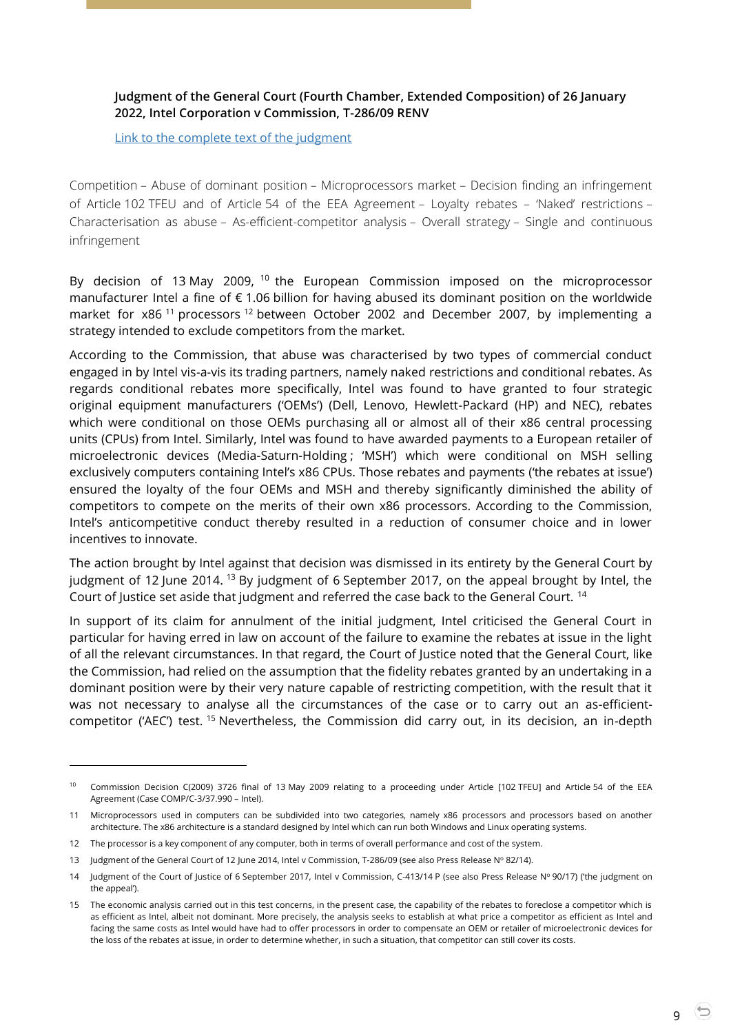#### <span id="page-8-0"></span>**Judgment of the General Court (Fourth Chamber, Extended Composition) of 26 January 2022, Intel Corporation v Commission, T-286/09 RENV**

[Link to the complete text of the judgment](https://curia.europa.eu/juris/document/document.jsf?text=&docid=252762&pageIndex=0&doclang=en&mode=lst&dir=&occ=first&part=1&cid=628963)

Competition – Abuse of dominant position – Microprocessors market – Decision finding an infringement of Article 102 TFEU and of Article 54 of the EEA Agreement – Loyalty rebates – 'Naked' restrictions – Characterisation as abuse – As-efficient-competitor analysis – Overall strategy – Single and continuous infringement

By decision of 13 May 2009, <sup>10</sup> the European Commission imposed on the microprocessor manufacturer Intel a fine of € 1.06 billion for having abused its dominant position on the worldwide market for  $x86$ <sup>11</sup> processors<sup>12</sup> between October 2002 and December 2007, by implementing a strategy intended to exclude competitors from the market.

According to the Commission, that abuse was characterised by two types of commercial conduct engaged in by Intel vis-a-vis its trading partners, namely naked restrictions and conditional rebates. As regards conditional rebates more specifically, Intel was found to have granted to four strategic original equipment manufacturers ('OEMs') (Dell, Lenovo, Hewlett-Packard (HP) and NEC), rebates which were conditional on those OEMs purchasing all or almost all of their x86 central processing units (CPUs) from Intel. Similarly, Intel was found to have awarded payments to a European retailer of microelectronic devices (Media-Saturn-Holding ; 'MSH') which were conditional on MSH selling exclusively computers containing Intel's x86 CPUs. Those rebates and payments ('the rebates at issue') ensured the loyalty of the four OEMs and MSH and thereby significantly diminished the ability of competitors to compete on the merits of their own x86 processors. According to the Commission, Intel's anticompetitive conduct thereby resulted in a reduction of consumer choice and in lower incentives to innovate.

The action brought by Intel against that decision was dismissed in its entirety by the General Court by judgment of 12 June 2014. <sup>13</sup> By judgment of 6 September 2017, on the appeal brought by Intel, the Court of Justice set aside that judgment and referred the case back to the General Court. <sup>14</sup>

In support of its claim for annulment of the initial judgment, Intel criticised the General Court in particular for having erred in law on account of the failure to examine the rebates at issue in the light of all the relevant circumstances. In that regard, the Court of Justice noted that the General Court, like the Commission, had relied on the assumption that the fidelity rebates granted by an undertaking in a dominant position were by their very nature capable of restricting competition, with the result that it was not necessary to analyse all the circumstances of the case or to carry out an as-efficientcompetitor ('AEC') test. <sup>15</sup> Nevertheless, the Commission did carry out, in its decision, an in-depth

<sup>10</sup> Commission Decision C(2009) 3726 final of 13 May 2009 relating to a proceeding under Article [102 TFEU] and Article 54 of the EEA Agreement (Case COMP/C-3/37.990 – Intel).

<sup>11</sup> Microprocessors used in computers can be subdivided into two categories, namely x86 processors and processors based on another architecture. The x86 architecture is a standard designed by Intel which can run both Windows and Linux operating systems.

<sup>12</sup> The processor is a key component of any computer, both in terms of overall performance and cost of the system.

<sup>13</sup> Judgment of the General Court of 12 June 2014, Intel v Commission[, T-286/09](https://curia.europa.eu/juris/documents.jsf?oqp=&for=&mat=or&lgrec=fr&jge=&td=%3BALL&jur=C%2CT%2CF&num=T-286%252F09&page=1&dates=&pcs=Oor&lg=&pro=&nat=or&cit=none%252CC%252CCJ%252CR%252C2008E%252C%252C%252C%252C%252C%252C%252C%252C%252C%252Ctrue%252Cfalse%252Cfalse&language=en&avg=&cid=1359087%20) (see also [Press Release N](https://curia.europa.eu/jcms/upload/docs/application/pdf/2014-06/cp140082en.pdf)º 82/14).

<sup>14</sup> Judgment of the Court of Justice of 6 September 2017, Intel v Commission, [C-413/14](https://curia.europa.eu/juris/documents.jsf?oqp=&for=&mat=or&lgrec=fr&jge=&td=%3BALL&jur=C%2CT%2CF&num=C-413%252F14&page=1&dates=&pcs=Oor&lg=&pro=&nat=or&cit=none%252CC%252CCJ%252CR%252C2008E%252C%252C%252C%252C%252C%252C%252C%252C%252C%252Ctrue%252Cfalse%252Cfalse&language=en&avg=&cid=1360539%20%20) P (see also [Press Release N](https://curia.europa.eu/jcms/upload/docs/application/pdf/2017-09/cp170090en.pdf)º 90/17) ('the judgment on the appeal').

<sup>15</sup> The economic analysis carried out in this test concerns, in the present case, the capability of the rebates to foreclose a competitor which is as efficient as Intel, albeit not dominant. More precisely, the analysis seeks to establish at what price a competitor as efficient as Intel and facing the same costs as Intel would have had to offer processors in order to compensate an OEM or retailer of microelectronic devices for the loss of the rebates at issue, in order to determine whether, in such a situation, that competitor can still cover its costs.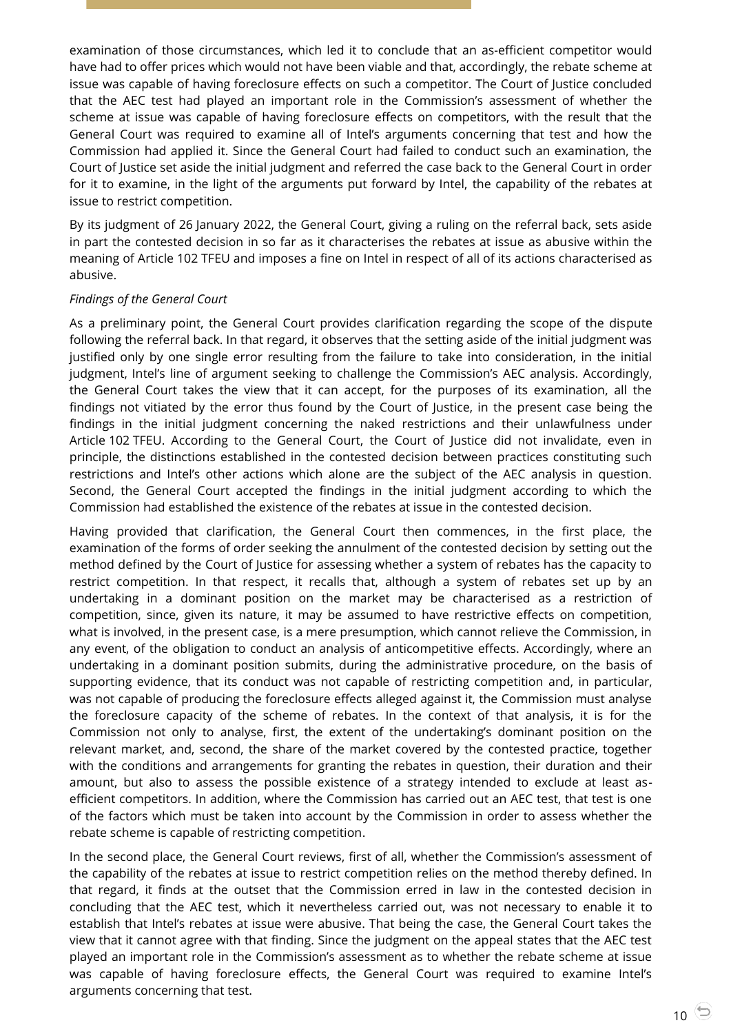examination of those circumstances, which led it to conclude that an as-efficient competitor would have had to offer prices which would not have been viable and that, accordingly, the rebate scheme at issue was capable of having foreclosure effects on such a competitor. The Court of Justice concluded that the AEC test had played an important role in the Commission's assessment of whether the scheme at issue was capable of having foreclosure effects on competitors, with the result that the General Court was required to examine all of Intel's arguments concerning that test and how the Commission had applied it. Since the General Court had failed to conduct such an examination, the Court of Justice set aside the initial judgment and referred the case back to the General Court in order for it to examine, in the light of the arguments put forward by Intel, the capability of the rebates at issue to restrict competition.

By its judgment of 26 January 2022, the General Court, giving a ruling on the referral back, sets aside in part the contested decision in so far as it characterises the rebates at issue as abusive within the meaning of Article 102 TFEU and imposes a fine on Intel in respect of all of its actions characterised as abusive.

#### *Findings of the General Court*

As a preliminary point, the General Court provides clarification regarding the scope of the dispute following the referral back. In that regard, it observes that the setting aside of the initial judgment was justified only by one single error resulting from the failure to take into consideration, in the initial judgment, Intel's line of argument seeking to challenge the Commission's AEC analysis. Accordingly, the General Court takes the view that it can accept, for the purposes of its examination, all the findings not vitiated by the error thus found by the Court of Justice, in the present case being the findings in the initial judgment concerning the naked restrictions and their unlawfulness under Article 102 TFEU. According to the General Court, the Court of Justice did not invalidate, even in principle, the distinctions established in the contested decision between practices constituting such restrictions and Intel's other actions which alone are the subject of the AEC analysis in question. Second, the General Court accepted the findings in the initial judgment according to which the Commission had established the existence of the rebates at issue in the contested decision.

Having provided that clarification, the General Court then commences, in the first place, the examination of the forms of order seeking the annulment of the contested decision by setting out the method defined by the Court of Justice for assessing whether a system of rebates has the capacity to restrict competition. In that respect, it recalls that, although a system of rebates set up by an undertaking in a dominant position on the market may be characterised as a restriction of competition, since, given its nature, it may be assumed to have restrictive effects on competition, what is involved, in the present case, is a mere presumption, which cannot relieve the Commission, in any event, of the obligation to conduct an analysis of anticompetitive effects. Accordingly, where an undertaking in a dominant position submits, during the administrative procedure, on the basis of supporting evidence, that its conduct was not capable of restricting competition and, in particular, was not capable of producing the foreclosure effects alleged against it, the Commission must analyse the foreclosure capacity of the scheme of rebates. In the context of that analysis, it is for the Commission not only to analyse, first, the extent of the undertaking's dominant position on the relevant market, and, second, the share of the market covered by the contested practice, together with the conditions and arrangements for granting the rebates in question, their duration and their amount, but also to assess the possible existence of a strategy intended to exclude at least asefficient competitors. In addition, where the Commission has carried out an AEC test, that test is one of the factors which must be taken into account by the Commission in order to assess whether the rebate scheme is capable of restricting competition.

In the second place, the General Court reviews, first of all, whether the Commission's assessment of the capability of the rebates at issue to restrict competition relies on the method thereby defined. In that regard, it finds at the outset that the Commission erred in law in the contested decision in concluding that the AEC test, which it nevertheless carried out, was not necessary to enable it to establish that Intel's rebates at issue were abusive. That being the case, the General Court takes the view that it cannot agree with that finding. Since the judgment on the appeal states that the AEC test played an important role in the Commission's assessment as to whether the rebate scheme at issue was capable of having foreclosure effects, the General Court was required to examine Intel's arguments concerning that test.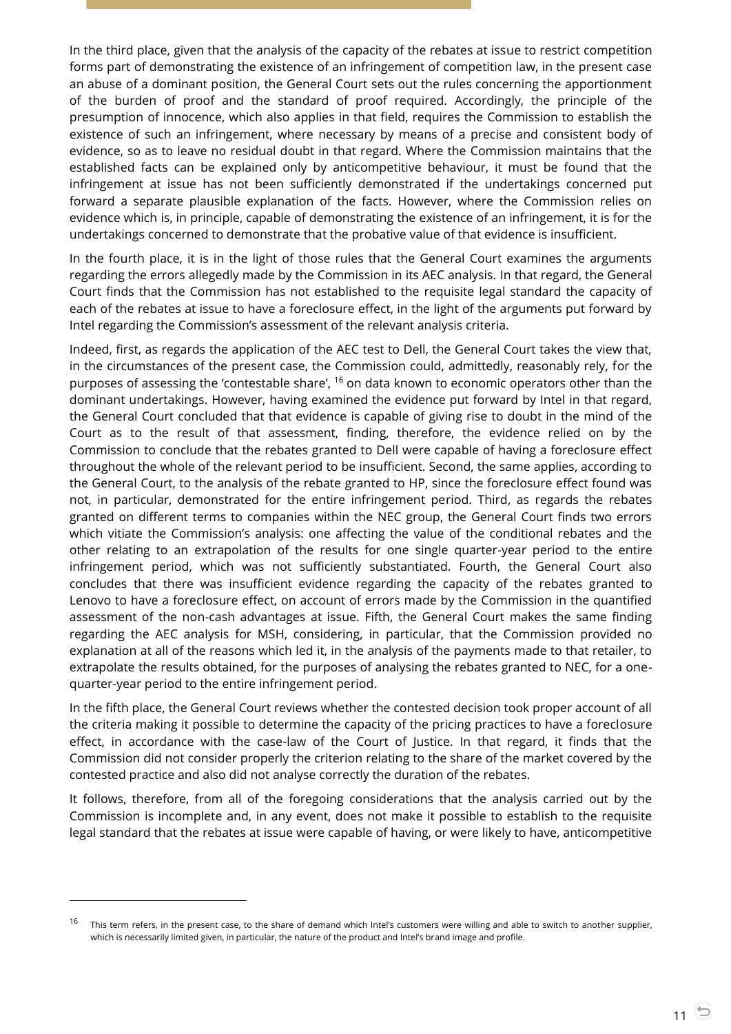In the third place, given that the analysis of the capacity of the rebates at issue to restrict competition forms part of demonstrating the existence of an infringement of competition law, in the present case an abuse of a dominant position, the General Court sets out the rules concerning the apportionment of the burden of proof and the standard of proof required. Accordingly, the principle of the presumption of innocence, which also applies in that field, requires the Commission to establish the existence of such an infringement, where necessary by means of a precise and consistent body of evidence, so as to leave no residual doubt in that regard. Where the Commission maintains that the established facts can be explained only by anticompetitive behaviour, it must be found that the infringement at issue has not been sufficiently demonstrated if the undertakings concerned put forward a separate plausible explanation of the facts. However, where the Commission relies on evidence which is, in principle, capable of demonstrating the existence of an infringement, it is for the undertakings concerned to demonstrate that the probative value of that evidence is insufficient.

In the fourth place, it is in the light of those rules that the General Court examines the arguments regarding the errors allegedly made by the Commission in its AEC analysis. In that regard, the General Court finds that the Commission has not established to the requisite legal standard the capacity of each of the rebates at issue to have a foreclosure effect, in the light of the arguments put forward by Intel regarding the Commission's assessment of the relevant analysis criteria.

Indeed, first, as regards the application of the AEC test to Dell, the General Court takes the view that, in the circumstances of the present case, the Commission could, admittedly, reasonably rely, for the purposes of assessing the 'contestable share', <sup>16</sup> on data known to economic operators other than the dominant undertakings. However, having examined the evidence put forward by Intel in that regard, the General Court concluded that that evidence is capable of giving rise to doubt in the mind of the Court as to the result of that assessment, finding, therefore, the evidence relied on by the Commission to conclude that the rebates granted to Dell were capable of having a foreclosure effect throughout the whole of the relevant period to be insufficient. Second, the same applies, according to the General Court, to the analysis of the rebate granted to HP, since the foreclosure effect found was not, in particular, demonstrated for the entire infringement period. Third, as regards the rebates granted on different terms to companies within the NEC group, the General Court finds two errors which vitiate the Commission's analysis: one affecting the value of the conditional rebates and the other relating to an extrapolation of the results for one single quarter-year period to the entire infringement period, which was not sufficiently substantiated. Fourth, the General Court also concludes that there was insufficient evidence regarding the capacity of the rebates granted to Lenovo to have a foreclosure effect, on account of errors made by the Commission in the quantified assessment of the non-cash advantages at issue. Fifth, the General Court makes the same finding regarding the AEC analysis for MSH, considering, in particular, that the Commission provided no explanation at all of the reasons which led it, in the analysis of the payments made to that retailer, to extrapolate the results obtained, for the purposes of analysing the rebates granted to NEC, for a onequarter-year period to the entire infringement period.

In the fifth place, the General Court reviews whether the contested decision took proper account of all the criteria making it possible to determine the capacity of the pricing practices to have a foreclosure effect, in accordance with the case-law of the Court of Justice. In that regard, it finds that the Commission did not consider properly the criterion relating to the share of the market covered by the contested practice and also did not analyse correctly the duration of the rebates.

It follows, therefore, from all of the foregoing considerations that the analysis carried out by the Commission is incomplete and, in any event, does not make it possible to establish to the requisite legal standard that the rebates at issue were capable of having, or were likely to have, anticompetitive

<sup>&</sup>lt;sup>16</sup> This term refers, in the present case, to the share of demand which Intel's customers were willing and able to switch to another supplier, which is necessarily limited given, in particular, the nature of the product and Intel's brand image and profile.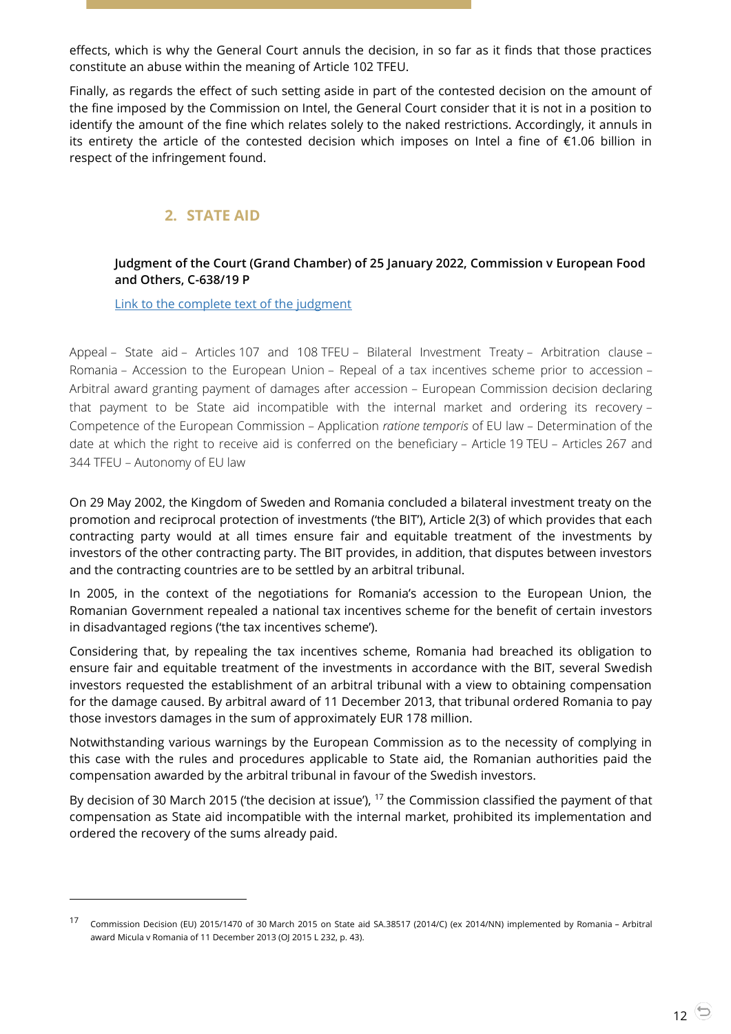effects, which is why the General Court annuls the decision, in so far as it finds that those practices constitute an abuse within the meaning of Article 102 TFEU.

Finally, as regards the effect of such setting aside in part of the contested decision on the amount of the fine imposed by the Commission on Intel, the General Court consider that it is not in a position to identify the amount of the fine which relates solely to the naked restrictions. Accordingly, it annuls in its entirety the article of the contested decision which imposes on Intel a fine of €1.06 billion in respect of the infringement found.

# **2. STATE AID**

-

#### <span id="page-11-1"></span><span id="page-11-0"></span>**Judgment of the Court (Grand Chamber) of 25 January 2022, Commission v European Food and Others, C-638/19 P**

[Link to the complete text of the judgment](https://curia.europa.eu/juris/document/document.jsf?text=&docid=252641&pageIndex=0&doclang=EN&mode=lst&dir=&occ=first&part=1&cid=613729)

Appeal – State aid – Articles 107 and 108 TFEU – Bilateral Investment Treaty – Arbitration clause – Romania – Accession to the European Union – Repeal of a tax incentives scheme prior to accession – Arbitral award granting payment of damages after accession – European Commission decision declaring that payment to be State aid incompatible with the internal market and ordering its recovery – Competence of the European Commission – Application *ratione temporis* of EU law – Determination of the date at which the right to receive aid is conferred on the beneficiary – Article 19 TEU – Articles 267 and 344 TFEU – Autonomy of EU law

On 29 May 2002, the Kingdom of Sweden and Romania concluded a bilateral investment treaty on the promotion and reciprocal protection of investments ('the BIT'), Article 2(3) of which provides that each contracting party would at all times ensure fair and equitable treatment of the investments by investors of the other contracting party. The BIT provides, in addition, that disputes between investors and the contracting countries are to be settled by an arbitral tribunal.

In 2005, in the context of the negotiations for Romania's accession to the European Union, the Romanian Government repealed a national tax incentives scheme for the benefit of certain investors in disadvantaged regions ('the tax incentives scheme').

Considering that, by repealing the tax incentives scheme, Romania had breached its obligation to ensure fair and equitable treatment of the investments in accordance with the BIT, several Swedish investors requested the establishment of an arbitral tribunal with a view to obtaining compensation for the damage caused. By arbitral award of 11 December 2013, that tribunal ordered Romania to pay those investors damages in the sum of approximately EUR 178 million.

Notwithstanding various warnings by the European Commission as to the necessity of complying in this case with the rules and procedures applicable to State aid, the Romanian authorities paid the compensation awarded by the arbitral tribunal in favour of the Swedish investors.

By decision of 30 March 2015 ('the decision at issue'), <sup>17</sup> the Commission classified the payment of that compensation as State aid incompatible with the internal market, prohibited its implementation and ordered the recovery of the sums already paid.

<sup>17</sup> Commission Decision (EU) 2015/1470 of 30 March 2015 on State aid SA.38517 (2014/C) (ex 2014/NN) implemented by Romania – Arbitral award Micula v Romania of 11 December 2013 (OJ 2015 L 232, p. 43).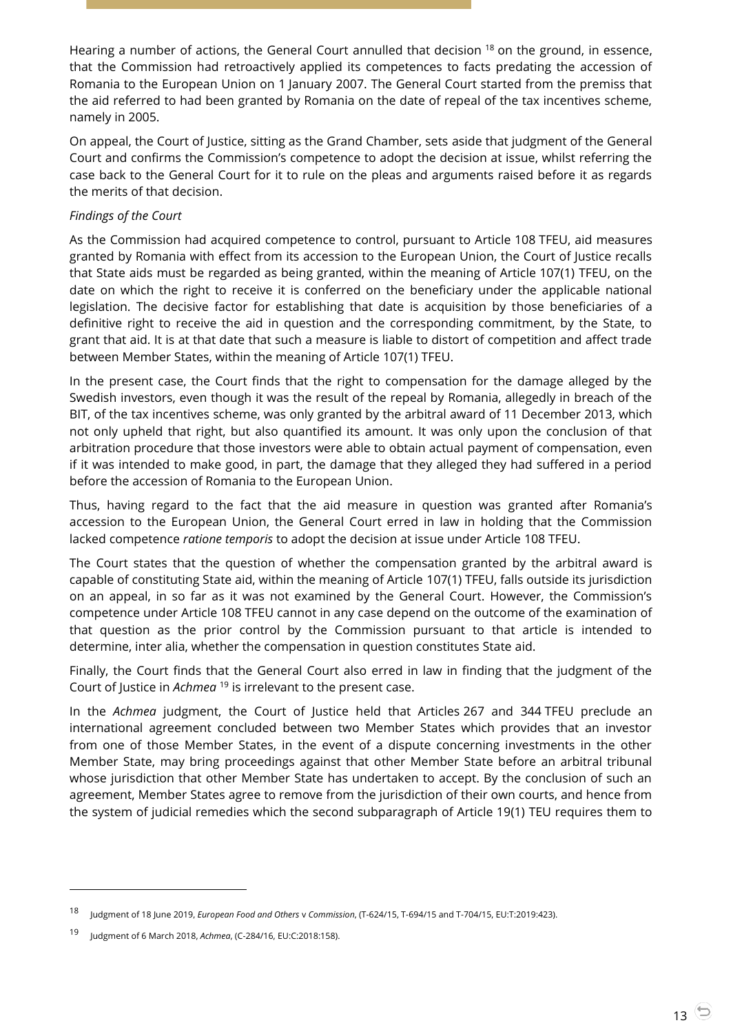Hearing a number of actions, the General Court annulled that decision <sup>18</sup> on the ground, in essence, that the Commission had retroactively applied its competences to facts predating the accession of Romania to the European Union on 1 January 2007. The General Court started from the premiss that the aid referred to had been granted by Romania on the date of repeal of the tax incentives scheme, namely in 2005.

On appeal, the Court of Justice, sitting as the Grand Chamber, sets aside that judgment of the General Court and confirms the Commission's competence to adopt the decision at issue, whilst referring the case back to the General Court for it to rule on the pleas and arguments raised before it as regards the merits of that decision.

#### *Findings of the Court*

As the Commission had acquired competence to control, pursuant to Article 108 TFEU, aid measures granted by Romania with effect from its accession to the European Union, the Court of Justice recalls that State aids must be regarded as being granted, within the meaning of Article 107(1) TFEU, on the date on which the right to receive it is conferred on the beneficiary under the applicable national legislation. The decisive factor for establishing that date is acquisition by those beneficiaries of a definitive right to receive the aid in question and the corresponding commitment, by the State, to grant that aid. It is at that date that such a measure is liable to distort of competition and affect trade between Member States, within the meaning of Article 107(1) TFEU.

In the present case, the Court finds that the right to compensation for the damage alleged by the Swedish investors, even though it was the result of the repeal by Romania, allegedly in breach of the BIT, of the tax incentives scheme, was only granted by the arbitral award of 11 December 2013, which not only upheld that right, but also quantified its amount. It was only upon the conclusion of that arbitration procedure that those investors were able to obtain actual payment of compensation, even if it was intended to make good, in part, the damage that they alleged they had suffered in a period before the accession of Romania to the European Union.

Thus, having regard to the fact that the aid measure in question was granted after Romania's accession to the European Union, the General Court erred in law in holding that the Commission lacked competence *ratione temporis* to adopt the decision at issue under Article 108 TFEU.

The Court states that the question of whether the compensation granted by the arbitral award is capable of constituting State aid, within the meaning of Article 107(1) TFEU, falls outside its jurisdiction on an appeal, in so far as it was not examined by the General Court. However, the Commission's competence under Article 108 TFEU cannot in any case depend on the outcome of the examination of that question as the prior control by the Commission pursuant to that article is intended to determine, inter alia, whether the compensation in question constitutes State aid.

Finally, the Court finds that the General Court also erred in law in finding that the judgment of the Court of Justice in *Achmea* <sup>19</sup> is irrelevant to the present case.

In the *Achmea* judgment, the Court of Justice held that Articles 267 and 344 TFEU preclude an international agreement concluded between two Member States which provides that an investor from one of those Member States, in the event of a dispute concerning investments in the other Member State, may bring proceedings against that other Member State before an arbitral tribunal whose jurisdiction that other Member State has undertaken to accept. By the conclusion of such an agreement, Member States agree to remove from the jurisdiction of their own courts, and hence from the system of judicial remedies which the second subparagraph of Article 19(1) TEU requires them to

<sup>18</sup> Judgment of 18 June 2019, *European Food and Others* <sup>v</sup>*Commission*, (T-624/15, T-694/15 and T-704/15, EU:T:2019:423).

<sup>19</sup> Judgment of 6 March 2018, *Achmea*, (C-284/16, EU:C:2018:158).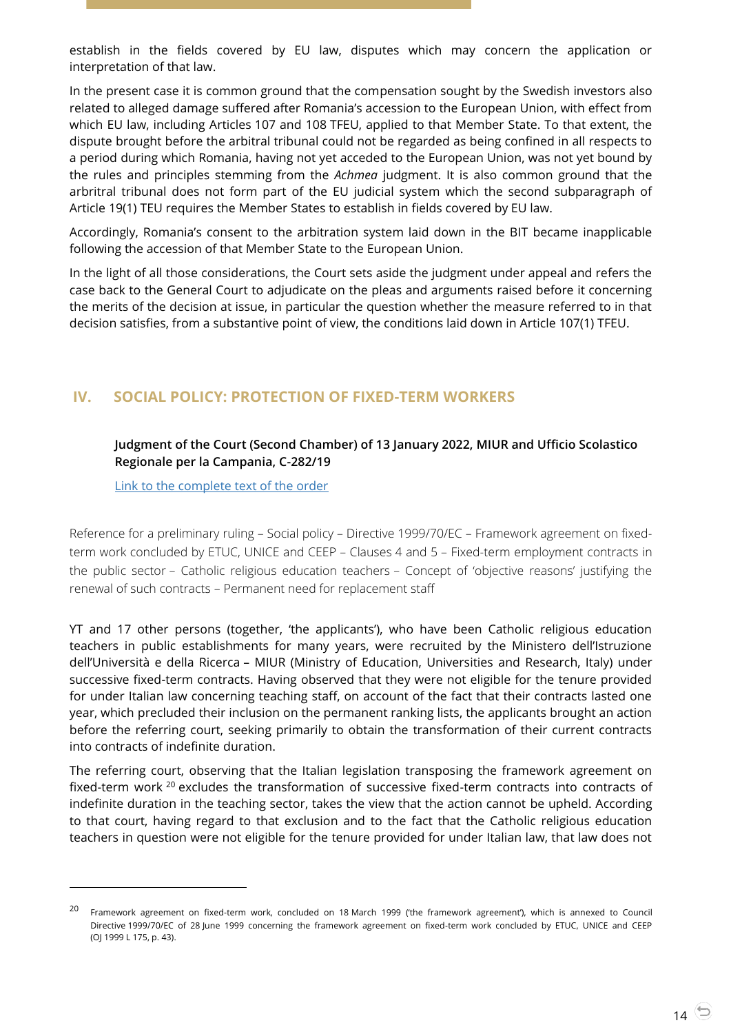establish in the fields covered by EU law, disputes which may concern the application or interpretation of that law.

In the present case it is common ground that the compensation sought by the Swedish investors also related to alleged damage suffered after Romania's accession to the European Union, with effect from which EU law, including Articles 107 and 108 TFEU, applied to that Member State. To that extent, the dispute brought before the arbitral tribunal could not be regarded as being confined in all respects to a period during which Romania, having not yet acceded to the European Union, was not yet bound by the rules and principles stemming from the *Achmea* judgment. It is also common ground that the arbritral tribunal does not form part of the EU judicial system which the second subparagraph of Article 19(1) TEU requires the Member States to establish in fields covered by EU law.

Accordingly, Romania's consent to the arbitration system laid down in the BIT became inapplicable following the accession of that Member State to the European Union.

In the light of all those considerations, the Court sets aside the judgment under appeal and refers the case back to the General Court to adjudicate on the pleas and arguments raised before it concerning the merits of the decision at issue, in particular the question whether the measure referred to in that decision satisfies, from a substantive point of view, the conditions laid down in Article 107(1) TFEU.

# <span id="page-13-1"></span><span id="page-13-0"></span>**IV. SOCIAL POLICY: PROTECTION OF FIXED-TERM WORKERS**

#### **Judgment of the Court (Second Chamber) of 13 January 2022, MIUR and Ufficio Scolastico Regionale per la Campania, C-282/19**

[Link to the complete text of the order](https://curia.europa.eu/juris/document/document.jsf?text=&docid=252122&pageIndex=0&doclang=en&mode=lst&dir=&occ=first&part=1&cid=614370)

 $\overline{a}$ 

Reference for a preliminary ruling – Social policy – Directive 1999/70/EC – Framework agreement on fixedterm work concluded by ETUC, UNICE and CEEP – Clauses 4 and 5 – Fixed-term employment contracts in the public sector – Catholic religious education teachers – Concept of 'objective reasons' justifying the renewal of such contracts – Permanent need for replacement staff

YT and 17 other persons (together, 'the applicants'), who have been Catholic religious education teachers in public establishments for many years, were recruited by the Ministero dell'Istruzione dell'Università e della Ricerca – MIUR (Ministry of Education, Universities and Research, Italy) under successive fixed-term contracts. Having observed that they were not eligible for the tenure provided for under Italian law concerning teaching staff, on account of the fact that their contracts lasted one year, which precluded their inclusion on the permanent ranking lists, the applicants brought an action before the referring court, seeking primarily to obtain the transformation of their current contracts into contracts of indefinite duration.

The referring court, observing that the Italian legislation transposing the framework agreement on fixed-term work <sup>20</sup> excludes the transformation of successive fixed-term contracts into contracts of indefinite duration in the teaching sector, takes the view that the action cannot be upheld. According to that court, having regard to that exclusion and to the fact that the Catholic religious education teachers in question were not eligible for the tenure provided for under Italian law, that law does not

<sup>&</sup>lt;sup>20</sup> Framework agreement on fixed-term work, concluded on 18 March 1999 ('the framework agreement'), which is annexed to Council Directive 1999/70/EC of 28 June 1999 concerning the framework agreement on fixed-term work concluded by ETUC, UNICE and CEEP (OJ 1999 L 175, p. 43).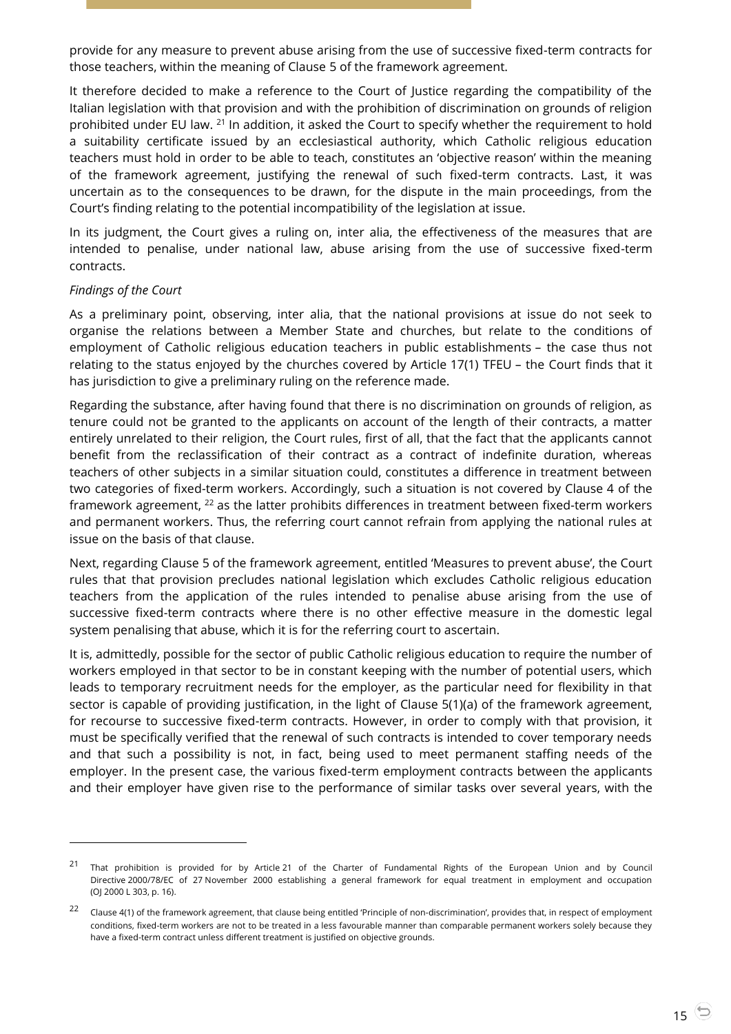provide for any measure to prevent abuse arising from the use of successive fixed-term contracts for those teachers, within the meaning of Clause 5 of the framework agreement.

It therefore decided to make a reference to the Court of Justice regarding the compatibility of the Italian legislation with that provision and with the prohibition of discrimination on grounds of religion prohibited under EU law. <sup>21</sup> In addition, it asked the Court to specify whether the requirement to hold a suitability certificate issued by an ecclesiastical authority, which Catholic religious education teachers must hold in order to be able to teach, constitutes an 'objective reason' within the meaning of the framework agreement, justifying the renewal of such fixed-term contracts. Last, it was uncertain as to the consequences to be drawn, for the dispute in the main proceedings, from the Court's finding relating to the potential incompatibility of the legislation at issue.

In its judgment, the Court gives a ruling on, inter alia, the effectiveness of the measures that are intended to penalise, under national law, abuse arising from the use of successive fixed-term contracts.

#### *Findings of the Court*

 $\overline{a}$ 

As a preliminary point, observing, inter alia, that the national provisions at issue do not seek to organise the relations between a Member State and churches, but relate to the conditions of employment of Catholic religious education teachers in public establishments – the case thus not relating to the status enjoyed by the churches covered by Article 17(1) TFEU – the Court finds that it has jurisdiction to give a preliminary ruling on the reference made.

Regarding the substance, after having found that there is no discrimination on grounds of religion, as tenure could not be granted to the applicants on account of the length of their contracts, a matter entirely unrelated to their religion, the Court rules, first of all, that the fact that the applicants cannot benefit from the reclassification of their contract as a contract of indefinite duration, whereas teachers of other subjects in a similar situation could, constitutes a difference in treatment between two categories of fixed-term workers. Accordingly, such a situation is not covered by Clause 4 of the framework agreement, <sup>22</sup> as the latter prohibits differences in treatment between fixed-term workers and permanent workers. Thus, the referring court cannot refrain from applying the national rules at issue on the basis of that clause.

Next, regarding Clause 5 of the framework agreement, entitled 'Measures to prevent abuse', the Court rules that that provision precludes national legislation which excludes Catholic religious education teachers from the application of the rules intended to penalise abuse arising from the use of successive fixed-term contracts where there is no other effective measure in the domestic legal system penalising that abuse, which it is for the referring court to ascertain.

It is, admittedly, possible for the sector of public Catholic religious education to require the number of workers employed in that sector to be in constant keeping with the number of potential users, which leads to temporary recruitment needs for the employer, as the particular need for flexibility in that sector is capable of providing justification, in the light of Clause 5(1)(a) of the framework agreement, for recourse to successive fixed-term contracts. However, in order to comply with that provision, it must be specifically verified that the renewal of such contracts is intended to cover temporary needs and that such a possibility is not, in fact, being used to meet permanent staffing needs of the employer. In the present case, the various fixed-term employment contracts between the applicants and their employer have given rise to the performance of similar tasks over several years, with the

<sup>&</sup>lt;sup>21</sup> That prohibition is provided for by Article 21 of the Charter of Fundamental Rights of the European Union and by Council Directive 2000/78/EC of 27 November 2000 establishing a general framework for equal treatment in employment and occupation (OJ 2000 L 303, p. 16).

 $22$  Clause 4(1) of the framework agreement, that clause being entitled 'Principle of non-discrimination', provides that, in respect of employment conditions, fixed-term workers are not to be treated in a less favourable manner than comparable permanent workers solely because they have a fixed-term contract unless different treatment is justified on objective grounds.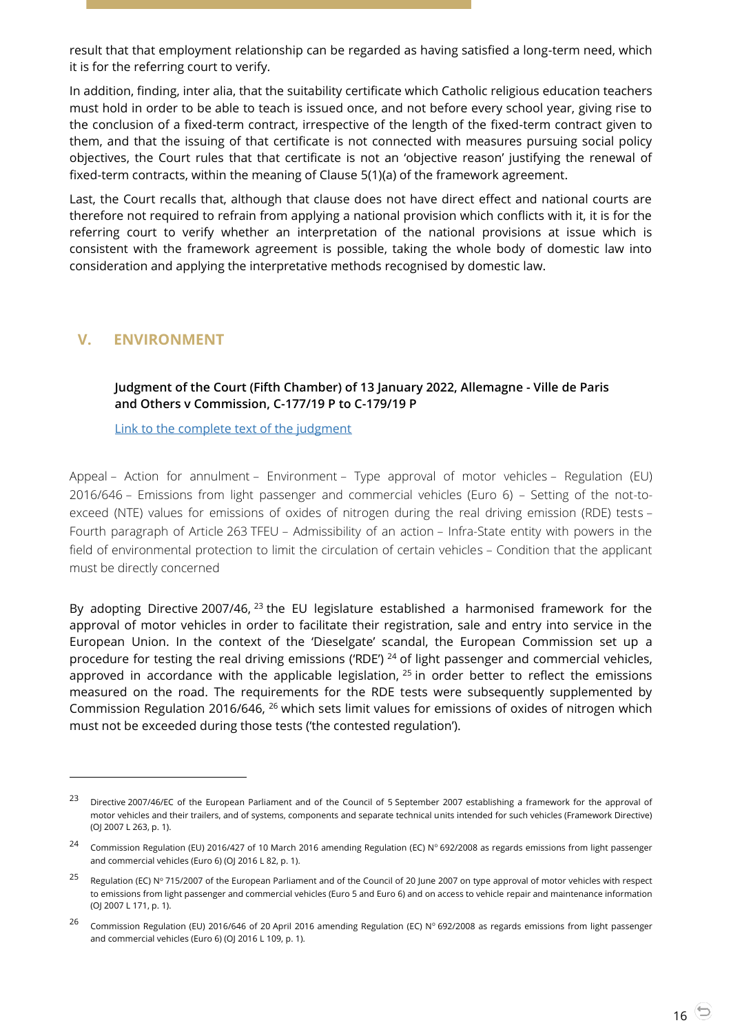result that that employment relationship can be regarded as having satisfied a long-term need, which it is for the referring court to verify.

In addition, finding, inter alia, that the suitability certificate which Catholic religious education teachers must hold in order to be able to teach is issued once, and not before every school year, giving rise to the conclusion of a fixed-term contract, irrespective of the length of the fixed-term contract given to them, and that the issuing of that certificate is not connected with measures pursuing social policy objectives, the Court rules that that certificate is not an 'objective reason' justifying the renewal of fixed-term contracts, within the meaning of Clause 5(1)(a) of the framework agreement.

Last, the Court recalls that, although that clause does not have direct effect and national courts are therefore not required to refrain from applying a national provision which conflicts with it, it is for the referring court to verify whether an interpretation of the national provisions at issue which is consistent with the framework agreement is possible, taking the whole body of domestic law into consideration and applying the interpretative methods recognised by domestic law.

# <span id="page-15-1"></span><span id="page-15-0"></span>**V. ENVIRONMENT**

 $\overline{a}$ 

#### **Judgment of the Court (Fifth Chamber) of 13 January 2022, Allemagne - Ville de Paris and Others v Commission, C-177/19 P to C-179/19 P**

[Link to the complete text of the judgment](https://curia.europa.eu/juris/document/document.jsf?text=&docid=252121&pageIndex=0&doclang=en&mode=lst&dir=&occ=first&part=1&cid=619767)

Appeal – Action for annulment – Environment – Type approval of motor vehicles – Regulation (EU) 2016/646 – Emissions from light passenger and commercial vehicles (Euro 6) – Setting of the not-toexceed (NTE) values for emissions of oxides of nitrogen during the real driving emission (RDE) tests – Fourth paragraph of Article 263 TFEU – Admissibility of an action – Infra-State entity with powers in the field of environmental protection to limit the circulation of certain vehicles – Condition that the applicant must be directly concerned

By adopting Directive 2007/46, <sup>23</sup> the EU legislature established a harmonised framework for the approval of motor vehicles in order to facilitate their registration, sale and entry into service in the European Union. In the context of the 'Dieselgate' scandal, the European Commission set up a procedure for testing the real driving emissions ('RDE') <sup>24</sup> of light passenger and commercial vehicles, approved in accordance with the applicable legislation,  $^{25}$  in order better to reflect the emissions measured on the road. The requirements for the RDE tests were subsequently supplemented by Commission Regulation 2016/646, <sup>26</sup> which sets limit values for emissions of oxides of nitrogen which must not be exceeded during those tests ('the contested regulation').

<sup>&</sup>lt;sup>23</sup> Directive 2007/46/EC of the European Parliament and of the Council of 5 September 2007 establishing a framework for the approval of motor vehicles and their trailers, and of systems, components and separate technical units intended for such vehicles (Framework Directive) (OJ 2007 L 263, p. 1).

<sup>24</sup> Commission Regulation (EU) 2016/427 of 10 March 2016 amending Regulation (EC) N° 692/2008 as regards emissions from light passenger and commercial vehicles (Euro 6) (OJ 2016 L 82, p. 1).

<sup>&</sup>lt;sup>25</sup> Regulation (EC) N° 715/2007 of the European Parliament and of the Council of 20 June 2007 on type approval of motor vehicles with respect to emissions from light passenger and commercial vehicles (Euro 5 and Euro 6) and on access to vehicle repair and maintenance information (OJ 2007 L 171, p. 1).

<sup>&</sup>lt;sup>26</sup> Commission Regulation (EU) 2016/646 of 20 April 2016 amending Regulation (EC) N° 692/2008 as regards emissions from light passenger and commercial vehicles (Euro 6) (OJ 2016 L 109, p. 1).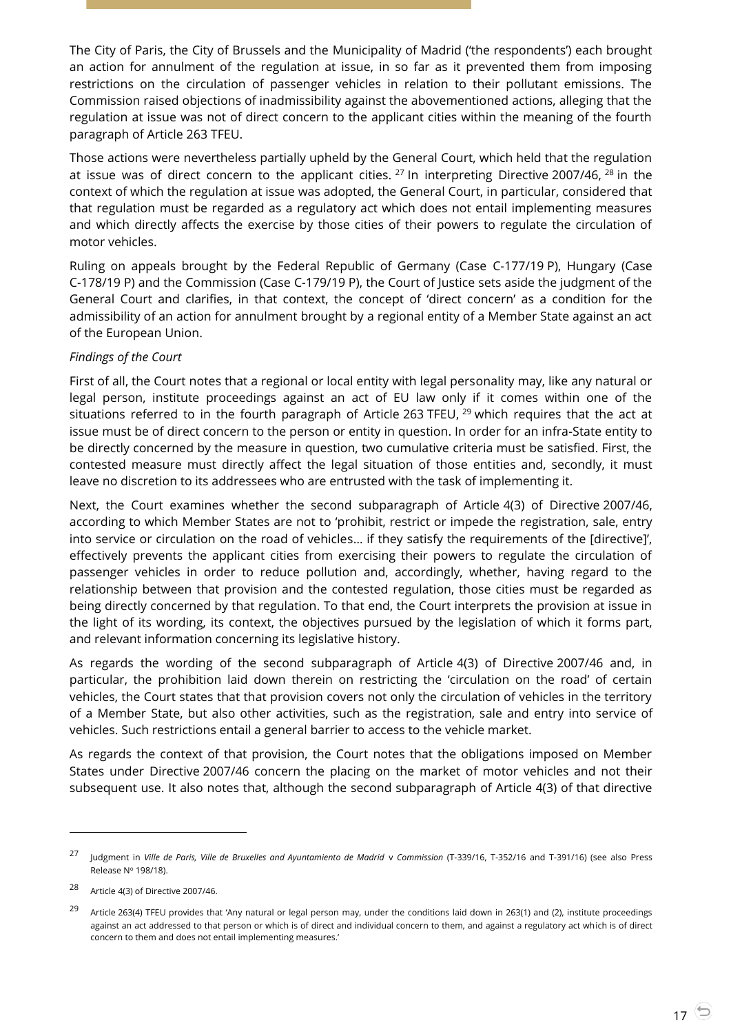The City of Paris, the City of Brussels and the Municipality of Madrid ('the respondents') each brought an action for annulment of the regulation at issue, in so far as it prevented them from imposing restrictions on the circulation of passenger vehicles in relation to their pollutant emissions. The Commission raised objections of inadmissibility against the abovementioned actions, alleging that the regulation at issue was not of direct concern to the applicant cities within the meaning of the fourth paragraph of Article 263 TFEU.

Those actions were nevertheless partially upheld by the General Court, which held that the regulation at issue was of direct concern to the applicant cities.  $27$  In interpreting Directive 2007/46,  $28$  in the context of which the regulation at issue was adopted, the General Court, in particular, considered that that regulation must be regarded as a regulatory act which does not entail implementing measures and which directly affects the exercise by those cities of their powers to regulate the circulation of motor vehicles.

Ruling on appeals brought by the Federal Republic of Germany (Case C-177/19 P), Hungary (Case C-178/19 P) and the Commission (Case C-179/19 P), the Court of Justice sets aside the judgment of the General Court and clarifies, in that context, the concept of 'direct concern' as a condition for the admissibility of an action for annulment brought by a regional entity of a Member State against an act of the European Union.

#### *Findings of the Court*

First of all, the Court notes that a regional or local entity with legal personality may, like any natural or legal person, institute proceedings against an act of EU law only if it comes within one of the situations referred to in the fourth paragraph of Article 263 TFEU,  $^{29}$  which requires that the act at issue must be of direct concern to the person or entity in question. In order for an infra-State entity to be directly concerned by the measure in question, two cumulative criteria must be satisfied. First, the contested measure must directly affect the legal situation of those entities and, secondly, it must leave no discretion to its addressees who are entrusted with the task of implementing it.

Next, the Court examines whether the second subparagraph of Article 4(3) of Directive 2007/46, according to which Member States are not to 'prohibit, restrict or impede the registration, sale, entry into service or circulation on the road of vehicles… if they satisfy the requirements of the [directive]', effectively prevents the applicant cities from exercising their powers to regulate the circulation of passenger vehicles in order to reduce pollution and, accordingly, whether, having regard to the relationship between that provision and the contested regulation, those cities must be regarded as being directly concerned by that regulation. To that end, the Court interprets the provision at issue in the light of its wording, its context, the objectives pursued by the legislation of which it forms part, and relevant information concerning its legislative history.

As regards the wording of the second subparagraph of Article 4(3) of Directive 2007/46 and, in particular, the prohibition laid down therein on restricting the 'circulation on the road' of certain vehicles, the Court states that that provision covers not only the circulation of vehicles in the territory of a Member State, but also other activities, such as the registration, sale and entry into service of vehicles. Such restrictions entail a general barrier to access to the vehicle market.

As regards the context of that provision, the Court notes that the obligations imposed on Member States under Directive 2007/46 concern the placing on the market of motor vehicles and not their subsequent use. It also notes that, although the second subparagraph of Article 4(3) of that directive

-

<sup>27</sup> Judgment in *Ville de Paris, Ville de Bruxelles and Ayuntamiento de Madrid* <sup>v</sup>*Commission* (T-339/16, T-352/16 and T-391/16) (see also Press Release  $N^{\circ}$  198/18).

<sup>28</sup> Article 4(3) of Directive 2007/46.

<sup>&</sup>lt;sup>29</sup> Article 263(4) TFEU provides that 'Any natural or legal person may, under the conditions laid down in 263(1) and (2), institute proceedings against an act addressed to that person or which is of direct and individual concern to them, and against a regulatory act which is of direct concern to them and does not entail implementing measures.'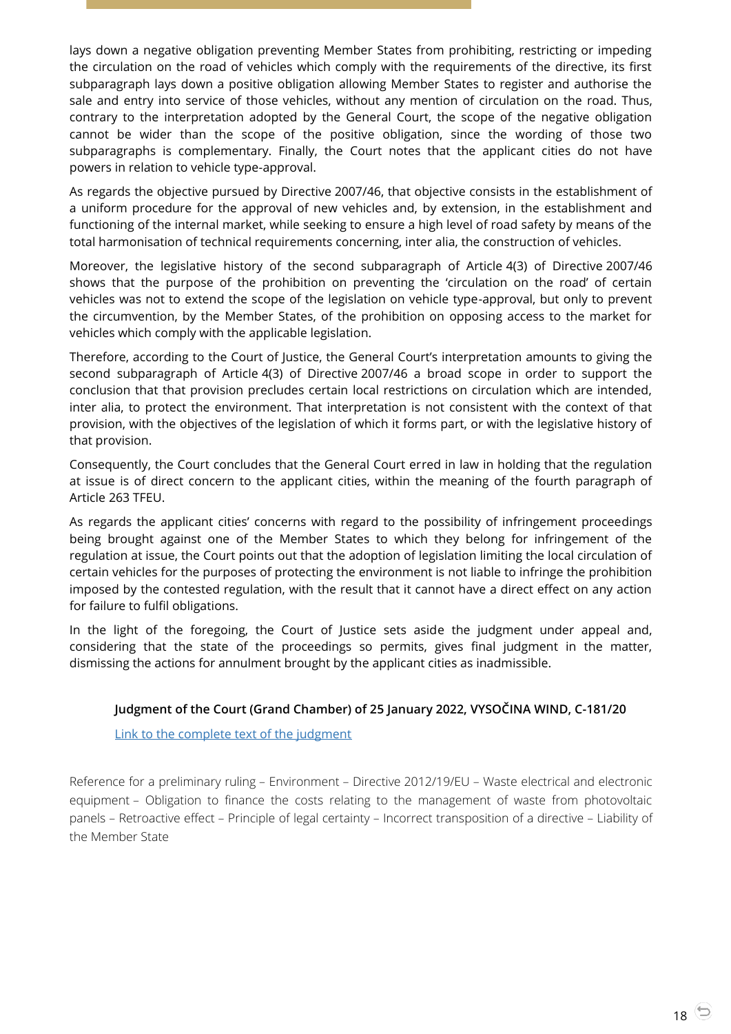lays down a negative obligation preventing Member States from prohibiting, restricting or impeding the circulation on the road of vehicles which comply with the requirements of the directive, its first subparagraph lays down a positive obligation allowing Member States to register and authorise the sale and entry into service of those vehicles, without any mention of circulation on the road. Thus, contrary to the interpretation adopted by the General Court, the scope of the negative obligation cannot be wider than the scope of the positive obligation, since the wording of those two subparagraphs is complementary. Finally, the Court notes that the applicant cities do not have powers in relation to vehicle type-approval.

As regards the objective pursued by Directive 2007/46, that objective consists in the establishment of a uniform procedure for the approval of new vehicles and, by extension, in the establishment and functioning of the internal market, while seeking to ensure a high level of road safety by means of the total harmonisation of technical requirements concerning, inter alia, the construction of vehicles.

Moreover, the legislative history of the second subparagraph of Article 4(3) of Directive 2007/46 shows that the purpose of the prohibition on preventing the 'circulation on the road' of certain vehicles was not to extend the scope of the legislation on vehicle type-approval, but only to prevent the circumvention, by the Member States, of the prohibition on opposing access to the market for vehicles which comply with the applicable legislation.

Therefore, according to the Court of Justice, the General Court's interpretation amounts to giving the second subparagraph of Article 4(3) of Directive 2007/46 a broad scope in order to support the conclusion that that provision precludes certain local restrictions on circulation which are intended, inter alia, to protect the environment. That interpretation is not consistent with the context of that provision, with the objectives of the legislation of which it forms part, or with the legislative history of that provision.

Consequently, the Court concludes that the General Court erred in law in holding that the regulation at issue is of direct concern to the applicant cities, within the meaning of the fourth paragraph of Article 263 TFEU.

As regards the applicant cities' concerns with regard to the possibility of infringement proceedings being brought against one of the Member States to which they belong for infringement of the regulation at issue, the Court points out that the adoption of legislation limiting the local circulation of certain vehicles for the purposes of protecting the environment is not liable to infringe the prohibition imposed by the contested regulation, with the result that it cannot have a direct effect on any action for failure to fulfil obligations.

In the light of the foregoing, the Court of Justice sets aside the judgment under appeal and, considering that the state of the proceedings so permits, gives final judgment in the matter, dismissing the actions for annulment brought by the applicant cities as inadmissible.

# <span id="page-17-0"></span>**Judgment of the Court (Grand Chamber) of 25 January 2022, VYSOČINA WIND, C-181/20**

[Link to the complete text of the judgment](https://curia.europa.eu/juris/document/document.jsf?text=&docid=252642&pageIndex=0&doclang=en&mode=lst&dir=&occ=first&part=1&cid=620123)

Reference for a preliminary ruling – Environment – Directive 2012/19/EU – Waste electrical and electronic equipment – Obligation to finance the costs relating to the management of waste from photovoltaic panels – Retroactive effect – Principle of legal certainty – Incorrect transposition of a directive – Liability of the Member State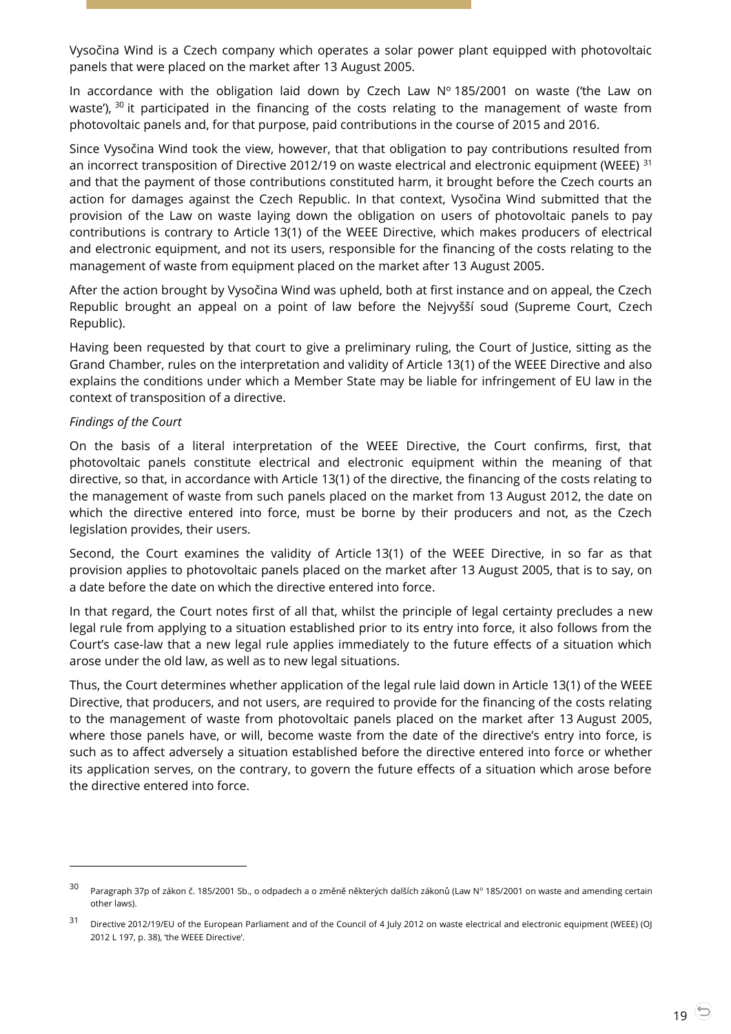Vysočina Wind is a Czech company which operates a solar power plant equipped with photovoltaic panels that were placed on the market after 13 August 2005.

In accordance with the obligation laid down by Czech Law  $N^{\circ}$  185/2001 on waste ('the Law on waste'),  $30$  it participated in the financing of the costs relating to the management of waste from photovoltaic panels and, for that purpose, paid contributions in the course of 2015 and 2016.

Since Vysočina Wind took the view, however, that that obligation to pay contributions resulted from an incorrect transposition of Directive 2012/19 on waste electrical and electronic equipment (WEEE) <sup>31</sup> and that the payment of those contributions constituted harm, it brought before the Czech courts an action for damages against the Czech Republic. In that context, Vysočina Wind submitted that the provision of the Law on waste laying down the obligation on users of photovoltaic panels to pay contributions is contrary to Article 13(1) of the WEEE Directive, which makes producers of electrical and electronic equipment, and not its users, responsible for the financing of the costs relating to the management of waste from equipment placed on the market after 13 August 2005.

After the action brought by Vysočina Wind was upheld, both at first instance and on appeal, the Czech Republic brought an appeal on a point of law before the Nejvyšší soud (Supreme Court, Czech Republic).

Having been requested by that court to give a preliminary ruling, the Court of Justice, sitting as the Grand Chamber, rules on the interpretation and validity of Article 13(1) of the WEEE Directive and also explains the conditions under which a Member State may be liable for infringement of EU law in the context of transposition of a directive.

#### *Findings of the Court*

 $\overline{a}$ 

On the basis of a literal interpretation of the WEEE Directive, the Court confirms, first, that photovoltaic panels constitute electrical and electronic equipment within the meaning of that directive, so that, in accordance with Article 13(1) of the directive, the financing of the costs relating to the management of waste from such panels placed on the market from 13 August 2012, the date on which the directive entered into force, must be borne by their producers and not, as the Czech legislation provides, their users.

Second, the Court examines the validity of Article 13(1) of the WEEE Directive, in so far as that provision applies to photovoltaic panels placed on the market after 13 August 2005, that is to say, on a date before the date on which the directive entered into force.

In that regard, the Court notes first of all that, whilst the principle of legal certainty precludes a new legal rule from applying to a situation established prior to its entry into force, it also follows from the Court's case-law that a new legal rule applies immediately to the future effects of a situation which arose under the old law, as well as to new legal situations.

Thus, the Court determines whether application of the legal rule laid down in Article 13(1) of the WEEE Directive, that producers, and not users, are required to provide for the financing of the costs relating to the management of waste from photovoltaic panels placed on the market after 13 August 2005, where those panels have, or will, become waste from the date of the directive's entry into force, is such as to affect adversely a situation established before the directive entered into force or whether its application serves, on the contrary, to govern the future effects of a situation which arose before the directive entered into force.

<sup>&</sup>lt;sup>30</sup> Paragraph 37p of zákon č. 185/2001 Sb., o odpadech a o změně některých dalších zákonů (Law N° 185/2001 on waste and amending certain other laws).

<sup>31</sup> Directive 2012/19/EU of the European Parliament and of the Council of 4 July 2012 on waste electrical and electronic equipment (WEEE) (OJ 2012 L 197, p. 38), 'the WEEE Directive'.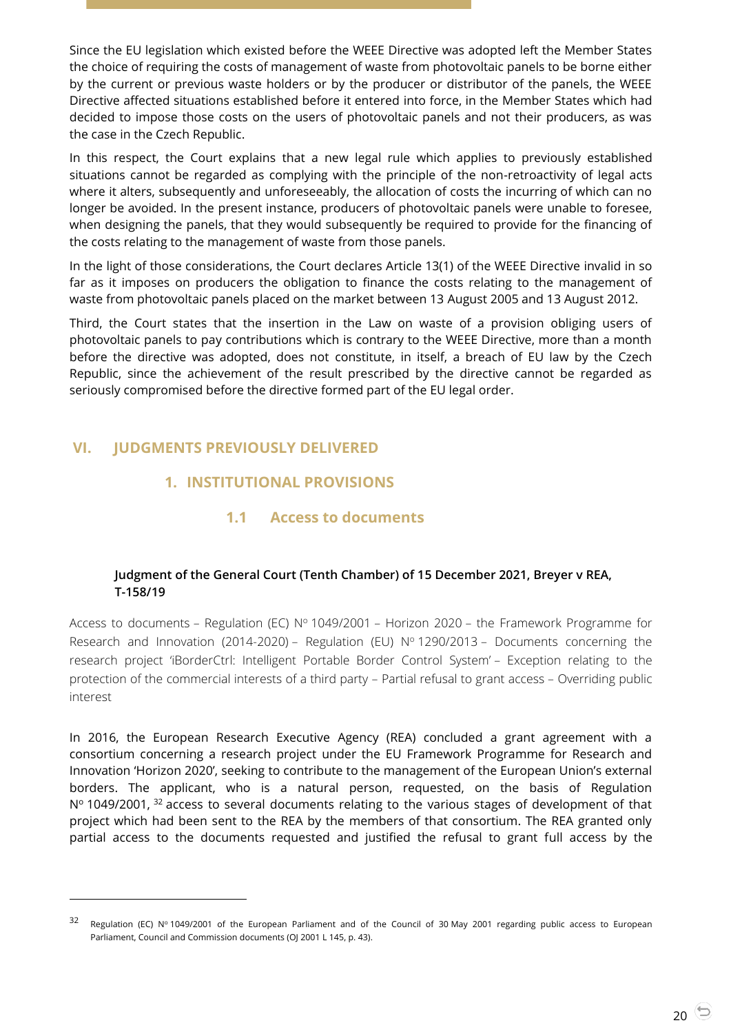Since the EU legislation which existed before the WEEE Directive was adopted left the Member States the choice of requiring the costs of management of waste from photovoltaic panels to be borne either by the current or previous waste holders or by the producer or distributor of the panels, the WEEE Directive affected situations established before it entered into force, in the Member States which had decided to impose those costs on the users of photovoltaic panels and not their producers, as was the case in the Czech Republic.

In this respect, the Court explains that a new legal rule which applies to previously established situations cannot be regarded as complying with the principle of the non-retroactivity of legal acts where it alters, subsequently and unforeseeably, the allocation of costs the incurring of which can no longer be avoided. In the present instance, producers of photovoltaic panels were unable to foresee, when designing the panels, that they would subsequently be required to provide for the financing of the costs relating to the management of waste from those panels.

In the light of those considerations, the Court declares Article 13(1) of the WEEE Directive invalid in so far as it imposes on producers the obligation to finance the costs relating to the management of waste from photovoltaic panels placed on the market between 13 August 2005 and 13 August 2012.

Third, the Court states that the insertion in the Law on waste of a provision obliging users of photovoltaic panels to pay contributions which is contrary to the WEEE Directive, more than a month before the directive was adopted, does not constitute, in itself, a breach of EU law by the Czech Republic, since the achievement of the result prescribed by the directive cannot be regarded as seriously compromised before the directive formed part of the EU legal order.

# <span id="page-19-2"></span><span id="page-19-1"></span><span id="page-19-0"></span>**VI. JUDGMENTS PREVIOUSLY DELIVERED**

-

# **1. INSTITUTIONAL PROVISIONS**

# **1.1 Access to documents**

#### <span id="page-19-3"></span>**Judgment of the General Court (Tenth Chamber) of 15 December 2021, Breyer v REA, T-158/19**

Access to documents – Regulation (EC)  $N^{\circ}$  1049/2001 – Horizon 2020 – the Framework Programme for Research and Innovation (2014-2020) – Regulation (EU)  $N^{\circ}$  1290/2013 – Documents concerning the research project 'iBorderCtrl: Intelligent Portable Border Control System' – Exception relating to the protection of the commercial interests of a third party – Partial refusal to grant access – Overriding public interest

In 2016, the European Research Executive Agency (REA) concluded a grant agreement with a consortium concerning a research project under the EU Framework Programme for Research and Innovation 'Horizon 2020', seeking to contribute to the management of the European Union's external borders. The applicant, who is a natural person, requested, on the basis of Regulation N° 1049/2001, <sup>32</sup> access to several documents relating to the various stages of development of that project which had been sent to the REA by the members of that consortium. The REA granted only partial access to the documents requested and justified the refusal to grant full access by the

<sup>32</sup> Regulation (EC) N° 1049/2001 of the European Parliament and of the Council of 30 May 2001 regarding public access to European Parliament, Council and Commission documents (OJ 2001 L 145, p. 43).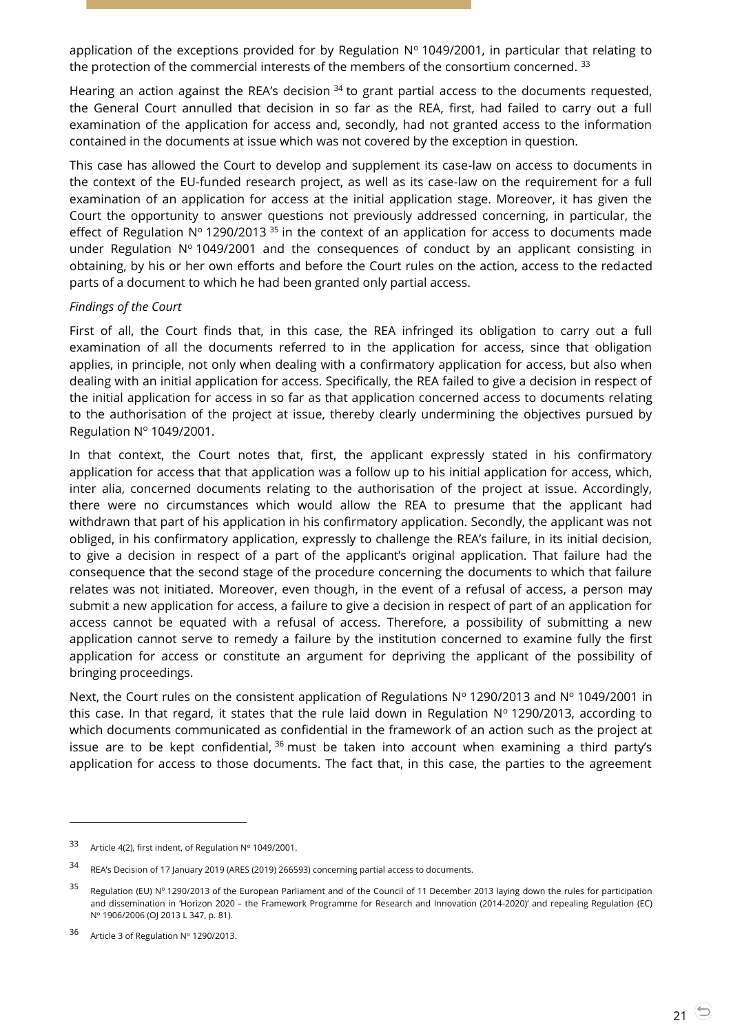application of the exceptions provided for by Regulation  $N^{\circ}$  1049/2001, in particular that relating to the protection of the commercial interests of the members of the consortium concerned.<sup>33</sup>

Hearing an action against the REA's decision  $34$  to grant partial access to the documents requested, the General Court annulled that decision in so far as the REA, first, had failed to carry out a full examination of the application for access and, secondly, had not granted access to the information contained in the documents at issue which was not covered by the exception in question.

This case has allowed the Court to develop and supplement its case-law on access to documents in the context of the EU-funded research project, as well as its case-law on the requirement for a full examination of an application for access at the initial application stage. Moreover, it has given the Court the opportunity to answer questions not previously addressed concerning, in particular, the effect of Regulation  $N^{\circ}$  1290/2013 <sup>35</sup> in the context of an application for access to documents made under Regulation Nº 1049/2001 and the consequences of conduct by an applicant consisting in obtaining, by his or her own efforts and before the Court rules on the action, access to the redacted parts of a document to which he had been granted only partial access.

#### *Findings of the Court*

First of all, the Court finds that, in this case, the REA infringed its obligation to carry out a full examination of all the documents referred to in the application for access, since that obligation applies, in principle, not only when dealing with a confirmatory application for access, but also when dealing with an initial application for access. Specifically, the REA failed to give a decision in respect of the initial application for access in so far as that application concerned access to documents relating to the authorisation of the project at issue, thereby clearly undermining the objectives pursued by Regulation  $N^{\circ}$  1049/2001.

In that context, the Court notes that, first, the applicant expressly stated in his confirmatory application for access that that application was a follow up to his initial application for access, which, inter alia, concerned documents relating to the authorisation of the project at issue. Accordingly, there were no circumstances which would allow the REA to presume that the applicant had withdrawn that part of his application in his confirmatory application. Secondly, the applicant was not obliged, in his confirmatory application, expressly to challenge the REA's failure, in its initial decision, to give a decision in respect of a part of the applicant's original application. That failure had the consequence that the second stage of the procedure concerning the documents to which that failure relates was not initiated. Moreover, even though, in the event of a refusal of access, a person may submit a new application for access, a failure to give a decision in respect of part of an application for access cannot be equated with a refusal of access. Therefore, a possibility of submitting a new application cannot serve to remedy a failure by the institution concerned to examine fully the first application for access or constitute an argument for depriving the applicant of the possibility of bringing proceedings.

Next, the Court rules on the consistent application of Regulations  $N^{\circ}$  1290/2013 and  $N^{\circ}$  1049/2001 in this case. In that regard, it states that the rule laid down in Regulation  $N^{\circ}$  1290/2013, according to which documents communicated as confidential in the framework of an action such as the project at issue are to be kept confidential,  $36$  must be taken into account when examining a third party's application for access to those documents. The fact that, in this case, the parties to the agreement

<sup>33</sup> Article 4(2), first indent, of Regulation  $N^{\circ}$  1049/2001.

<sup>34</sup> REA's Decision of 17 January 2019 (ARES (2019) 266593) concerning partial access to documents.

<sup>35</sup> Regulation (EU) Nº 1290/2013 of the European Parliament and of the Council of 11 December 2013 laying down the rules for participation and dissemination in 'Horizon 2020 – the Framework Programme for Research and Innovation (2014-2020)' and repealing Regulation (EC) N<sup>o</sup> 1906/2006 (OJ 2013 L 347, p. 81).

<sup>36</sup> Article 3 of Regulation  $N^{\circ}$  1290/2013.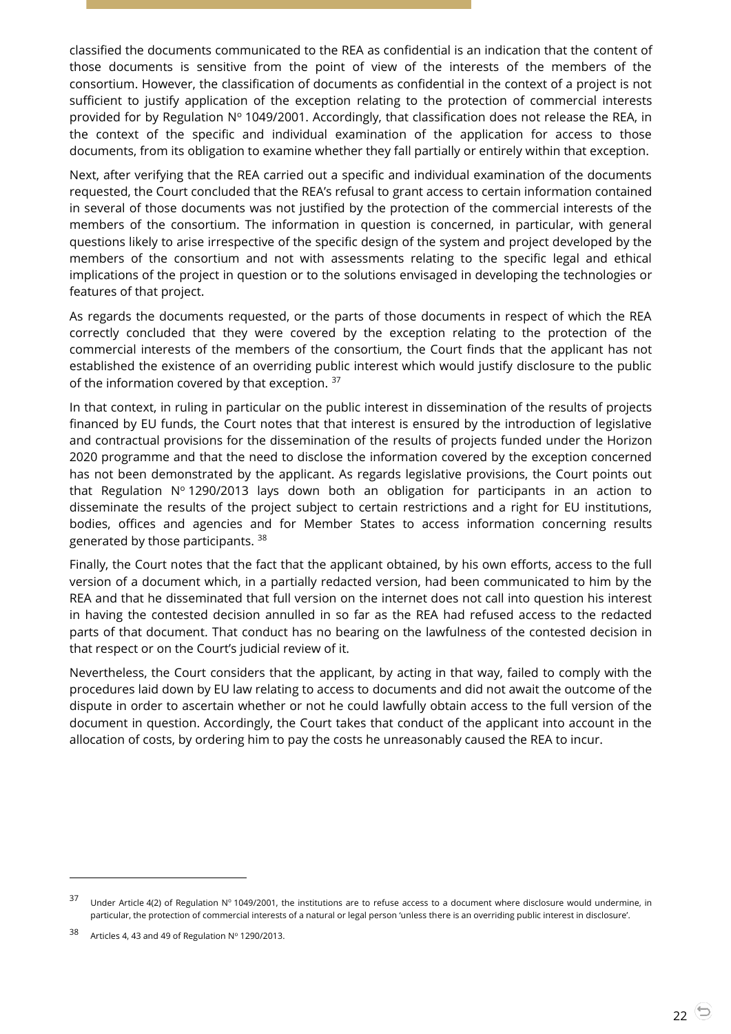classified the documents communicated to the REA as confidential is an indication that the content of those documents is sensitive from the point of view of the interests of the members of the consortium. However, the classification of documents as confidential in the context of a project is not sufficient to justify application of the exception relating to the protection of commercial interests provided for by Regulation  $N^{\circ}$  1049/2001. Accordingly, that classification does not release the REA, in the context of the specific and individual examination of the application for access to those documents, from its obligation to examine whether they fall partially or entirely within that exception.

Next, after verifying that the REA carried out a specific and individual examination of the documents requested, the Court concluded that the REA's refusal to grant access to certain information contained in several of those documents was not justified by the protection of the commercial interests of the members of the consortium. The information in question is concerned, in particular, with general questions likely to arise irrespective of the specific design of the system and project developed by the members of the consortium and not with assessments relating to the specific legal and ethical implications of the project in question or to the solutions envisaged in developing the technologies or features of that project.

As regards the documents requested, or the parts of those documents in respect of which the REA correctly concluded that they were covered by the exception relating to the protection of the commercial interests of the members of the consortium, the Court finds that the applicant has not established the existence of an overriding public interest which would justify disclosure to the public of the information covered by that exception. <sup>37</sup>

In that context, in ruling in particular on the public interest in dissemination of the results of projects financed by EU funds, the Court notes that that interest is ensured by the introduction of legislative and contractual provisions for the dissemination of the results of projects funded under the Horizon 2020 programme and that the need to disclose the information covered by the exception concerned has not been demonstrated by the applicant. As regards legislative provisions, the Court points out that Regulation  $N^{\circ}$  1290/2013 lays down both an obligation for participants in an action to disseminate the results of the project subject to certain restrictions and a right for EU institutions, bodies, offices and agencies and for Member States to access information concerning results generated by those participants. <sup>38</sup>

Finally, the Court notes that the fact that the applicant obtained, by his own efforts, access to the full version of a document which, in a partially redacted version, had been communicated to him by the REA and that he disseminated that full version on the internet does not call into question his interest in having the contested decision annulled in so far as the REA had refused access to the redacted parts of that document. That conduct has no bearing on the lawfulness of the contested decision in that respect or on the Court's judicial review of it.

Nevertheless, the Court considers that the applicant, by acting in that way, failed to comply with the procedures laid down by EU law relating to access to documents and did not await the outcome of the dispute in order to ascertain whether or not he could lawfully obtain access to the full version of the document in question. Accordingly, the Court takes that conduct of the applicant into account in the allocation of costs, by ordering him to pay the costs he unreasonably caused the REA to incur.

<sup>37</sup> Under Article 4(2) of Regulation N° 1049/2001, the institutions are to refuse access to a document where disclosure would undermine, in particular, the protection of commercial interests of a natural or legal person 'unless there is an overriding public interest in disclosure'.

<sup>38</sup> Articles 4, 43 and 49 of Regulation  $N^{\circ}$  1290/2013.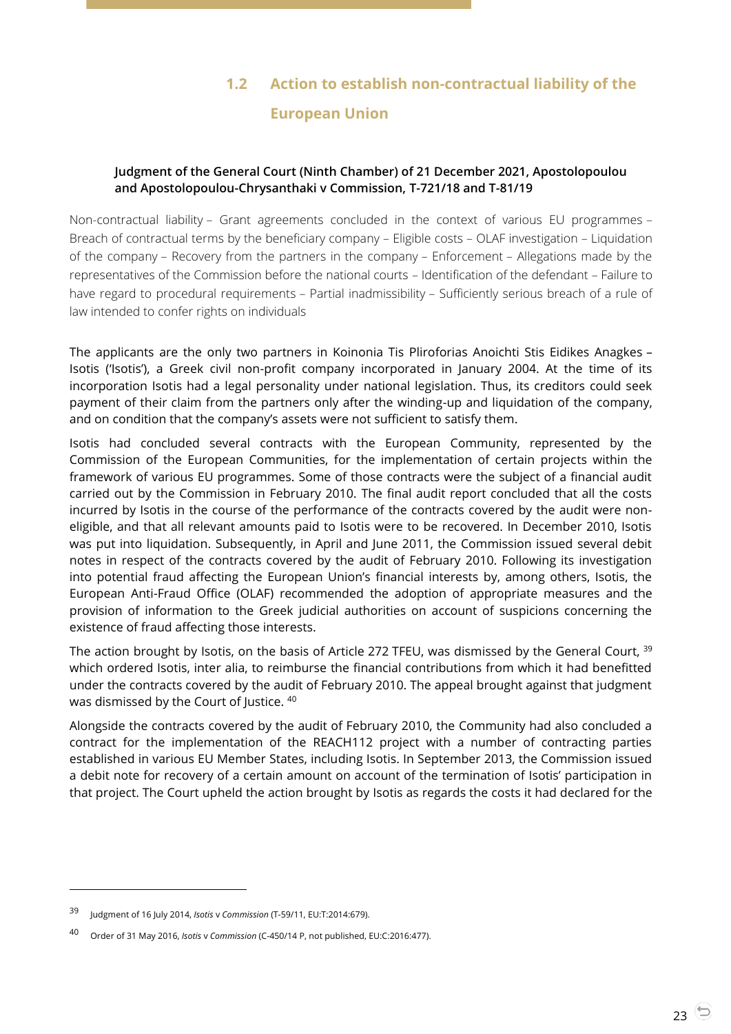# **1.2 Action to establish non-contractual liability of the European Union**

#### <span id="page-22-1"></span><span id="page-22-0"></span>**Judgment of the General Court (Ninth Chamber) of 21 December 2021, Apostolopoulou and Apostolopoulou-Chrysanthaki v Commission, T-721/18 and T-81/19**

Non-contractual liability – Grant agreements concluded in the context of various EU programmes – Breach of contractual terms by the beneficiary company – Eligible costs – OLAF investigation – Liquidation of the company – Recovery from the partners in the company – Enforcement – Allegations made by the representatives of the Commission before the national courts – Identification of the defendant – Failure to have regard to procedural requirements – Partial inadmissibility – Sufficiently serious breach of a rule of law intended to confer rights on individuals

The applicants are the only two partners in Koinonia Tis Pliroforias Anoichti Stis Eidikes Anagkes – Isotis ('Isotis'), a Greek civil non-profit company incorporated in January 2004. At the time of its incorporation Isotis had a legal personality under national legislation. Thus, its creditors could seek payment of their claim from the partners only after the winding-up and liquidation of the company, and on condition that the company's assets were not sufficient to satisfy them.

Isotis had concluded several contracts with the European Community, represented by the Commission of the European Communities, for the implementation of certain projects within the framework of various EU programmes. Some of those contracts were the subject of a financial audit carried out by the Commission in February 2010. The final audit report concluded that all the costs incurred by Isotis in the course of the performance of the contracts covered by the audit were noneligible, and that all relevant amounts paid to Isotis were to be recovered. In December 2010, Isotis was put into liquidation. Subsequently, in April and June 2011, the Commission issued several debit notes in respect of the contracts covered by the audit of February 2010. Following its investigation into potential fraud affecting the European Union's financial interests by, among others, Isotis, the European Anti-Fraud Office (OLAF) recommended the adoption of appropriate measures and the provision of information to the Greek judicial authorities on account of suspicions concerning the existence of fraud affecting those interests.

The action brought by Isotis, on the basis of Article 272 TFEU, was dismissed by the General Court, <sup>39</sup> which ordered Isotis, inter alia, to reimburse the financial contributions from which it had benefitted under the contracts covered by the audit of February 2010. The appeal brought against that judgment was dismissed by the Court of Justice. 40

Alongside the contracts covered by the audit of February 2010, the Community had also concluded a contract for the implementation of the REACH112 project with a number of contracting parties established in various EU Member States, including Isotis. In September 2013, the Commission issued a debit note for recovery of a certain amount on account of the termination of Isotis' participation in that project. The Court upheld the action brought by Isotis as regards the costs it had declared for the

<sup>39</sup> Judgment of 16 July 2014, *Isotis* <sup>v</sup>*Commission* (T-59/11, EU:T:2014:679).

<sup>40</sup> Order of 31 May 2016, *Isotis* <sup>v</sup>*Commission* (C-450/14 P, not published, EU:C:2016:477).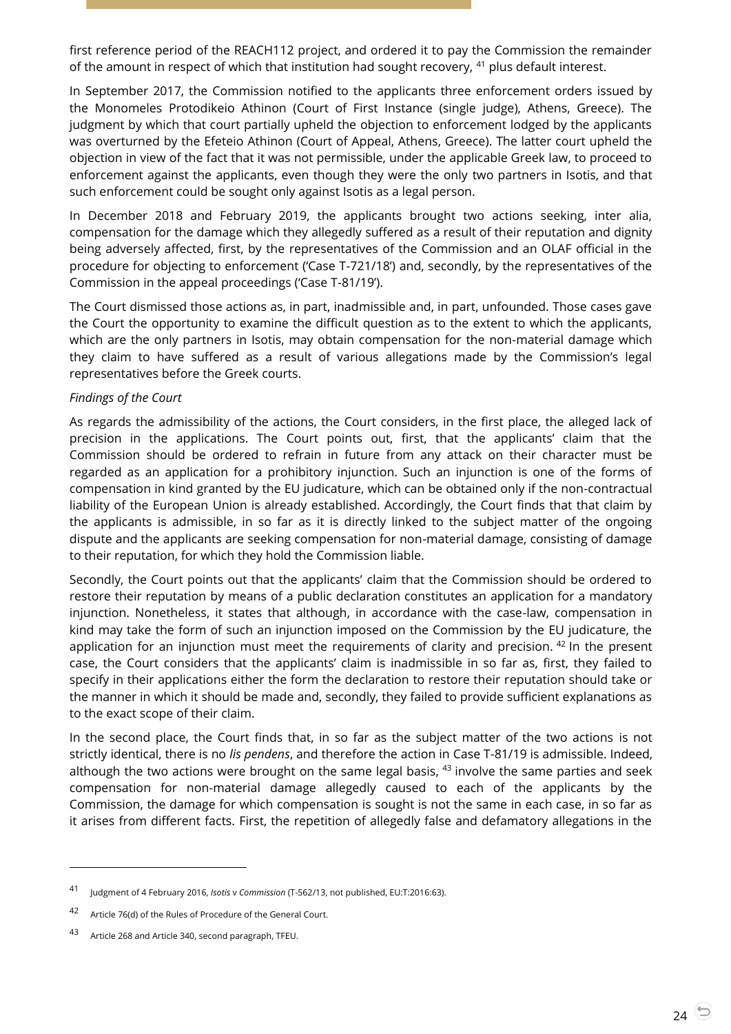first reference period of the REACH112 project, and ordered it to pay the Commission the remainder of the amount in respect of which that institution had sought recovery, <sup>41</sup> plus default interest.

In September 2017, the Commission notified to the applicants three enforcement orders issued by the Monomeles Protodikeio Athinon (Court of First Instance (single judge), Athens, Greece). The judgment by which that court partially upheld the objection to enforcement lodged by the applicants was overturned by the Efeteio Athinon (Court of Appeal, Athens, Greece). The latter court upheld the objection in view of the fact that it was not permissible, under the applicable Greek law, to proceed to enforcement against the applicants, even though they were the only two partners in Isotis, and that such enforcement could be sought only against Isotis as a legal person.

In December 2018 and February 2019, the applicants brought two actions seeking, inter alia, compensation for the damage which they allegedly suffered as a result of their reputation and dignity being adversely affected, first, by the representatives of the Commission and an OLAF official in the procedure for objecting to enforcement ('Case T-721/18') and, secondly, by the representatives of the Commission in the appeal proceedings ('Case T-81/19').

The Court dismissed those actions as, in part, inadmissible and, in part, unfounded. Those cases gave the Court the opportunity to examine the difficult question as to the extent to which the applicants, which are the only partners in Isotis, may obtain compensation for the non-material damage which they claim to have suffered as a result of various allegations made by the Commission's legal representatives before the Greek courts.

#### *Findings of the Court*

As regards the admissibility of the actions, the Court considers, in the first place, the alleged lack of precision in the applications. The Court points out, first, that the applicants' claim that the Commission should be ordered to refrain in future from any attack on their character must be regarded as an application for a prohibitory injunction. Such an injunction is one of the forms of compensation in kind granted by the EU judicature, which can be obtained only if the non-contractual liability of the European Union is already established. Accordingly, the Court finds that that claim by the applicants is admissible, in so far as it is directly linked to the subject matter of the ongoing dispute and the applicants are seeking compensation for non-material damage, consisting of damage to their reputation, for which they hold the Commission liable.

Secondly, the Court points out that the applicants' claim that the Commission should be ordered to restore their reputation by means of a public declaration constitutes an application for a mandatory injunction. Nonetheless, it states that although, in accordance with the case-law, compensation in kind may take the form of such an injunction imposed on the Commission by the EU judicature, the application for an injunction must meet the requirements of clarity and precision. <sup>42</sup> In the present case, the Court considers that the applicants' claim is inadmissible in so far as, first, they failed to specify in their applications either the form the declaration to restore their reputation should take or the manner in which it should be made and, secondly, they failed to provide sufficient explanations as to the exact scope of their claim.

In the second place, the Court finds that, in so far as the subject matter of the two actions is not strictly identical, there is no *lis pendens*, and therefore the action in Case T-81/19 is admissible. Indeed, although the two actions were brought on the same legal basis,  $43$  involve the same parties and seek compensation for non-material damage allegedly caused to each of the applicants by the Commission, the damage for which compensation is sought is not the same in each case, in so far as it arises from different facts. First, the repetition of allegedly false and defamatory allegations in the

<sup>41</sup> Judgment of 4 February 2016, *Isotis* <sup>v</sup>*Commission* (T-562/13, not published, EU:T:2016:63).

<sup>42</sup> Article 76(d) of the Rules of Procedure of the General Court.

<sup>43</sup> Article 268 and Article 340, second paragraph, TFEU.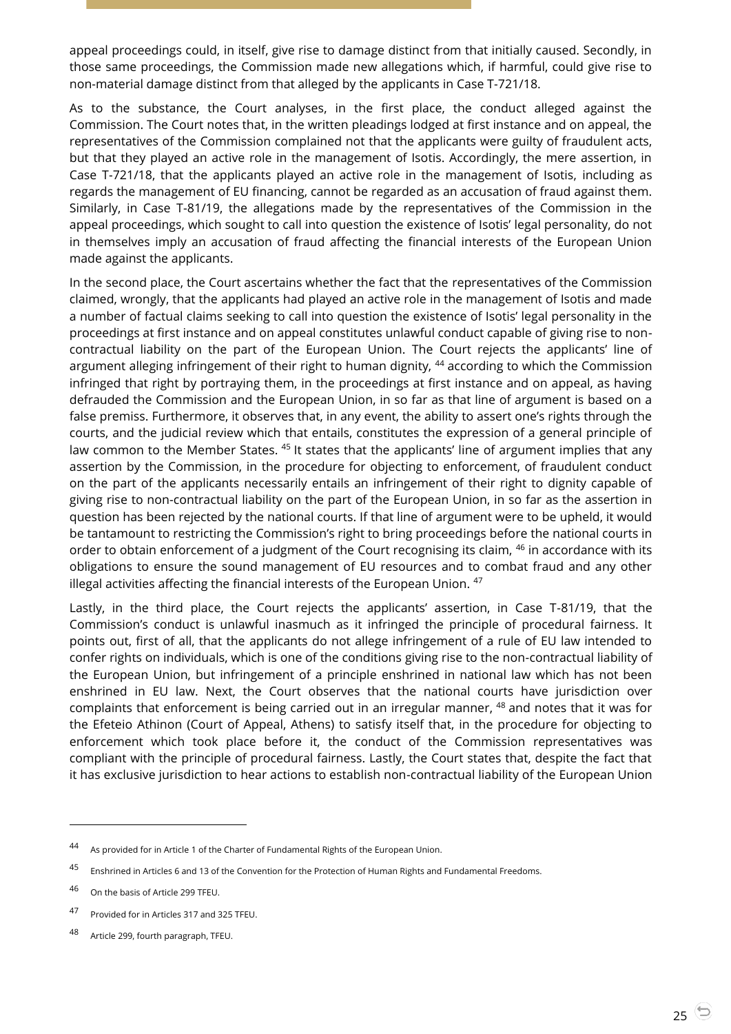appeal proceedings could, in itself, give rise to damage distinct from that initially caused. Secondly, in those same proceedings, the Commission made new allegations which, if harmful, could give rise to non-material damage distinct from that alleged by the applicants in Case T-721/18.

As to the substance, the Court analyses, in the first place, the conduct alleged against the Commission. The Court notes that, in the written pleadings lodged at first instance and on appeal, the representatives of the Commission complained not that the applicants were guilty of fraudulent acts, but that they played an active role in the management of Isotis. Accordingly, the mere assertion, in Case T-721/18, that the applicants played an active role in the management of Isotis, including as regards the management of EU financing, cannot be regarded as an accusation of fraud against them. Similarly, in Case T-81/19, the allegations made by the representatives of the Commission in the appeal proceedings, which sought to call into question the existence of Isotis' legal personality, do not in themselves imply an accusation of fraud affecting the financial interests of the European Union made against the applicants.

In the second place, the Court ascertains whether the fact that the representatives of the Commission claimed, wrongly, that the applicants had played an active role in the management of Isotis and made a number of factual claims seeking to call into question the existence of Isotis' legal personality in the proceedings at first instance and on appeal constitutes unlawful conduct capable of giving rise to noncontractual liability on the part of the European Union. The Court rejects the applicants' line of argument alleging infringement of their right to human dignity, <sup>44</sup> according to which the Commission infringed that right by portraying them, in the proceedings at first instance and on appeal, as having defrauded the Commission and the European Union, in so far as that line of argument is based on a false premiss. Furthermore, it observes that, in any event, the ability to assert one's rights through the courts, and the judicial review which that entails, constitutes the expression of a general principle of law common to the Member States. <sup>45</sup> It states that the applicants' line of argument implies that any assertion by the Commission, in the procedure for objecting to enforcement, of fraudulent conduct on the part of the applicants necessarily entails an infringement of their right to dignity capable of giving rise to non-contractual liability on the part of the European Union, in so far as the assertion in question has been rejected by the national courts. If that line of argument were to be upheld, it would be tantamount to restricting the Commission's right to bring proceedings before the national courts in order to obtain enforcement of a judgment of the Court recognising its claim, <sup>46</sup> in accordance with its obligations to ensure the sound management of EU resources and to combat fraud and any other illegal activities affecting the financial interests of the European Union. <sup>47</sup>

Lastly, in the third place, the Court rejects the applicants' assertion, in Case T-81/19, that the Commission's conduct is unlawful inasmuch as it infringed the principle of procedural fairness. It points out, first of all, that the applicants do not allege infringement of a rule of EU law intended to confer rights on individuals, which is one of the conditions giving rise to the non-contractual liability of the European Union, but infringement of a principle enshrined in national law which has not been enshrined in EU law. Next, the Court observes that the national courts have jurisdiction over complaints that enforcement is being carried out in an irregular manner, <sup>48</sup> and notes that it was for the Efeteio Athinon (Court of Appeal, Athens) to satisfy itself that, in the procedure for objecting to enforcement which took place before it, the conduct of the Commission representatives was compliant with the principle of procedural fairness. Lastly, the Court states that, despite the fact that it has exclusive jurisdiction to hear actions to establish non-contractual liability of the European Union

<sup>44</sup> As provided for in Article 1 of the Charter of Fundamental Rights of the European Union.

<sup>45</sup> Enshrined in Articles 6 and 13 of the Convention for the Protection of Human Rights and Fundamental Freedoms.

<sup>46</sup> On the basis of Article <sup>299</sup> TFEU.

<sup>47</sup> Provided for in Articles 317 and 325 TFEU.

<sup>48</sup> Article 299, fourth paragraph, TFEU.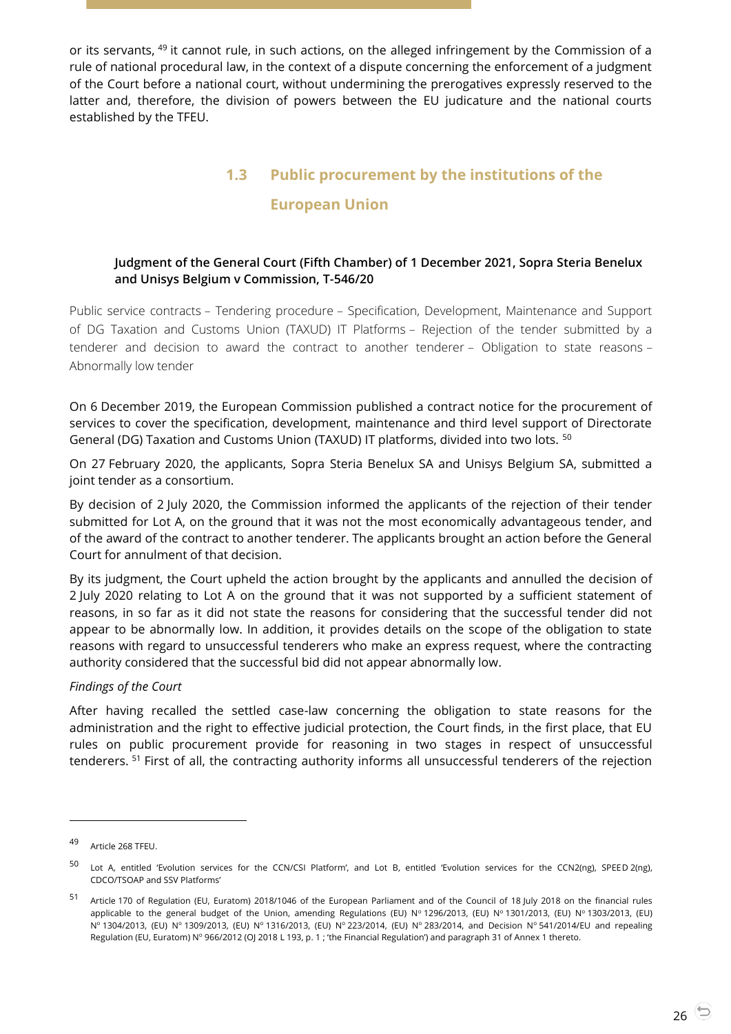or its servants, <sup>49</sup> it cannot rule, in such actions, on the alleged infringement by the Commission of a rule of national procedural law, in the context of a dispute concerning the enforcement of a judgment of the Court before a national court, without undermining the prerogatives expressly reserved to the latter and, therefore, the division of powers between the EU judicature and the national courts established by the TFEU.

# **1.3 Public procurement by the institutions of the**

# **European Union**

#### <span id="page-25-1"></span><span id="page-25-0"></span>**Judgment of the General Court (Fifth Chamber) of 1 December 2021, Sopra Steria Benelux and Unisys Belgium v Commission, T-546/20**

Public service contracts – Tendering procedure – Specification, Development, Maintenance and Support of DG Taxation and Customs Union (TAXUD) IT Platforms – Rejection of the tender submitted by a tenderer and decision to award the contract to another tenderer – Obligation to state reasons – Abnormally low tender

On 6 December 2019, the European Commission published a contract notice for the procurement of services to cover the specification, development, maintenance and third level support of Directorate General (DG) Taxation and Customs Union (TAXUD) IT platforms, divided into two lots. <sup>50</sup>

On 27 February 2020, the applicants, Sopra Steria Benelux SA and Unisys Belgium SA, submitted a joint tender as a consortium.

By decision of 2 July 2020, the Commission informed the applicants of the rejection of their tender submitted for Lot A, on the ground that it was not the most economically advantageous tender, and of the award of the contract to another tenderer. The applicants brought an action before the General Court for annulment of that decision.

By its judgment, the Court upheld the action brought by the applicants and annulled the decision of 2 July 2020 relating to Lot A on the ground that it was not supported by a sufficient statement of reasons, in so far as it did not state the reasons for considering that the successful tender did not appear to be abnormally low. In addition, it provides details on the scope of the obligation to state reasons with regard to unsuccessful tenderers who make an express request, where the contracting authority considered that the successful bid did not appear abnormally low.

#### *Findings of the Court*

After having recalled the settled case-law concerning the obligation to state reasons for the administration and the right to effective judicial protection, the Court finds, in the first place, that EU rules on public procurement provide for reasoning in two stages in respect of unsuccessful tenderers. <sup>51</sup> First of all, the contracting authority informs all unsuccessful tenderers of the rejection

<sup>49</sup> Article <sup>268</sup> TFEU.

<sup>50</sup> Lot A, entitled 'Evolution services for the CCN/CSI Platform', and Lot B, entitled 'Evolution services for the CCN2(ng), SPEE<sup>D</sup> 2(ng), CDCO/TSOAP and SSV Platforms'

<sup>51</sup> Article 170 of Regulation (EU, Euratom) 2018/1046 of the European Parliament and of the Council of 18 July 2018 on the financial rules applicable to the general budget of the Union, amending Regulations (EU) Nº 1296/2013, (EU) Nº 1301/2013, (EU) Nº 1303/2013, (EU) Nº 1304/2013, (EU) Nº 1309/2013, (EU) Nº 1316/2013, (EU) Nº 223/2014, (EU) Nº 283/2014, and Decision Nº 541/2014/EU and repealing Regulation (EU, Euratom) Nº 966/2012 (OJ 2018 L 193, p. 1; 'the Financial Regulation') and paragraph 31 of Annex 1 thereto.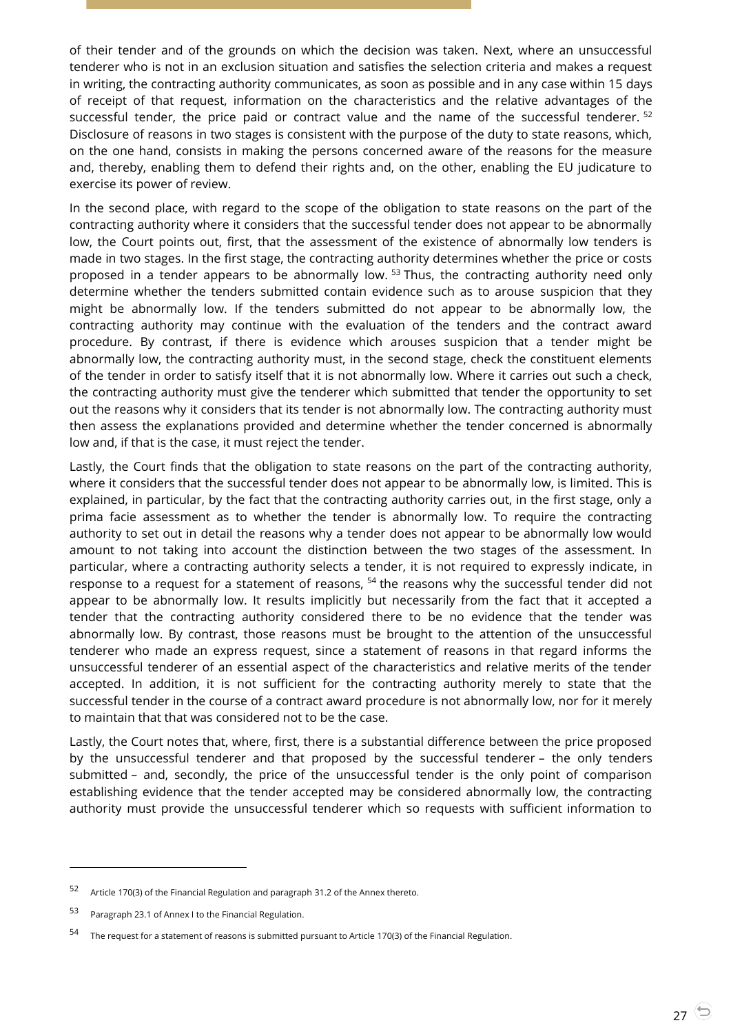of their tender and of the grounds on which the decision was taken. Next, where an unsuccessful tenderer who is not in an exclusion situation and satisfies the selection criteria and makes a request in writing, the contracting authority communicates, as soon as possible and in any case within 15 days of receipt of that request, information on the characteristics and the relative advantages of the successful tender, the price paid or contract value and the name of the successful tenderer. <sup>52</sup> Disclosure of reasons in two stages is consistent with the purpose of the duty to state reasons, which, on the one hand, consists in making the persons concerned aware of the reasons for the measure and, thereby, enabling them to defend their rights and, on the other, enabling the EU judicature to exercise its power of review.

In the second place, with regard to the scope of the obligation to state reasons on the part of the contracting authority where it considers that the successful tender does not appear to be abnormally low, the Court points out, first, that the assessment of the existence of abnormally low tenders is made in two stages. In the first stage, the contracting authority determines whether the price or costs proposed in a tender appears to be abnormally low.<sup>53</sup> Thus, the contracting authority need only determine whether the tenders submitted contain evidence such as to arouse suspicion that they might be abnormally low. If the tenders submitted do not appear to be abnormally low, the contracting authority may continue with the evaluation of the tenders and the contract award procedure. By contrast, if there is evidence which arouses suspicion that a tender might be abnormally low, the contracting authority must, in the second stage, check the constituent elements of the tender in order to satisfy itself that it is not abnormally low. Where it carries out such a check, the contracting authority must give the tenderer which submitted that tender the opportunity to set out the reasons why it considers that its tender is not abnormally low. The contracting authority must then assess the explanations provided and determine whether the tender concerned is abnormally low and, if that is the case, it must reject the tender.

Lastly, the Court finds that the obligation to state reasons on the part of the contracting authority, where it considers that the successful tender does not appear to be abnormally low, is limited. This is explained, in particular, by the fact that the contracting authority carries out, in the first stage, only a prima facie assessment as to whether the tender is abnormally low. To require the contracting authority to set out in detail the reasons why a tender does not appear to be abnormally low would amount to not taking into account the distinction between the two stages of the assessment. In particular, where a contracting authority selects a tender, it is not required to expressly indicate, in response to a request for a statement of reasons, <sup>54</sup> the reasons why the successful tender did not appear to be abnormally low. It results implicitly but necessarily from the fact that it accepted a tender that the contracting authority considered there to be no evidence that the tender was abnormally low. By contrast, those reasons must be brought to the attention of the unsuccessful tenderer who made an express request, since a statement of reasons in that regard informs the unsuccessful tenderer of an essential aspect of the characteristics and relative merits of the tender accepted. In addition, it is not sufficient for the contracting authority merely to state that the successful tender in the course of a contract award procedure is not abnormally low, nor for it merely to maintain that that was considered not to be the case.

Lastly, the Court notes that, where, first, there is a substantial difference between the price proposed by the unsuccessful tenderer and that proposed by the successful tenderer – the only tenders submitted – and, secondly, the price of the unsuccessful tender is the only point of comparison establishing evidence that the tender accepted may be considered abnormally low, the contracting authority must provide the unsuccessful tenderer which so requests with sufficient information to

<sup>52</sup> Article 170(3) of the Financial Regulation and paragraph 31.2 of the Annex thereto.

<sup>53</sup> Paragraph 23.1 of Annex I to the Financial Regulation.

<sup>54</sup> The request for a statement of reasons is submitted pursuant to Article 170(3) of the Financial Regulation.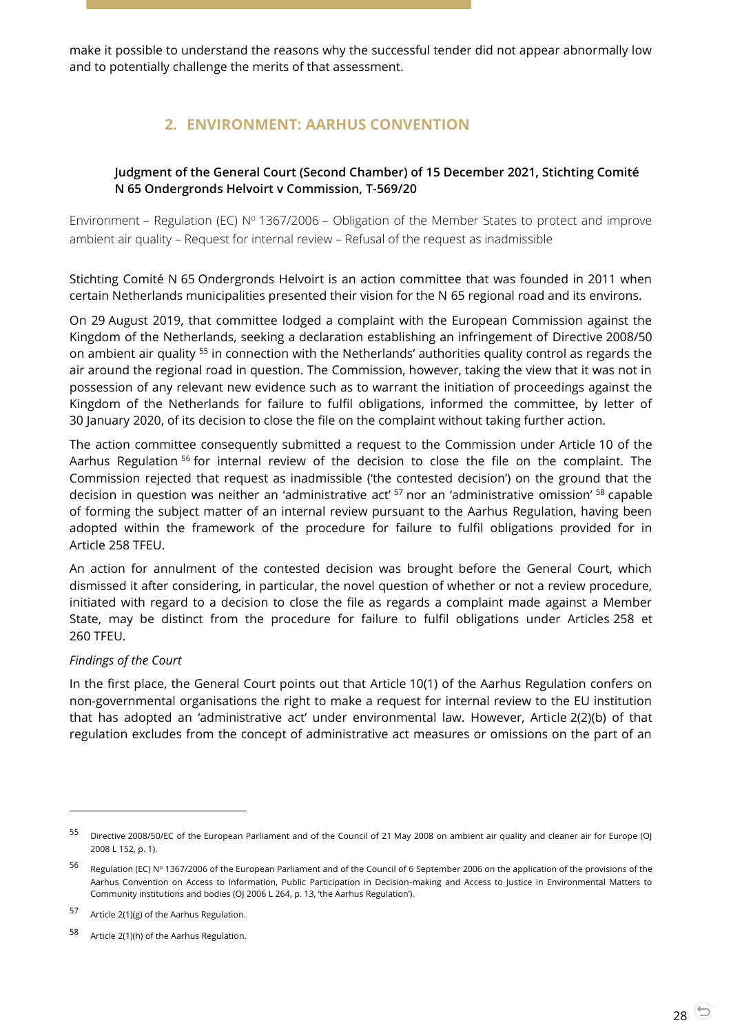<span id="page-27-0"></span>make it possible to understand the reasons why the successful tender did not appear abnormally low and to potentially challenge the merits of that assessment.

# **2. ENVIRONMENT: AARHUS CONVENTION**

#### <span id="page-27-1"></span>**Judgment of the General Court (Second Chamber) of 15 December 2021, Stichting Comité N 65 Ondergronds Helvoirt v Commission, T-569/20**

Environment – Regulation (EC)  $N^{\circ}$  1367/2006 – Obligation of the Member States to protect and improve ambient air quality – Request for internal review – Refusal of the request as inadmissible

Stichting Comité N 65 Ondergronds Helvoirt is an action committee that was founded in 2011 when certain Netherlands municipalities presented their vision for the N 65 regional road and its environs.

On 29 August 2019, that committee lodged a complaint with the European Commission against the Kingdom of the Netherlands, seeking a declaration establishing an infringement of Directive 2008/50 on ambient air quality <sup>55</sup> in connection with the Netherlands' authorities quality control as regards the air around the regional road in question. The Commission, however, taking the view that it was not in possession of any relevant new evidence such as to warrant the initiation of proceedings against the Kingdom of the Netherlands for failure to fulfil obligations, informed the committee, by letter of 30 January 2020, of its decision to close the file on the complaint without taking further action.

The action committee consequently submitted a request to the Commission under Article 10 of the Aarhus Regulation <sup>56</sup> for internal review of the decision to close the file on the complaint. The Commission rejected that request as inadmissible ('the contested decision') on the ground that the decision in question was neither an 'administrative act' <sup>57</sup> nor an 'administrative omission' <sup>58</sup> capable of forming the subject matter of an internal review pursuant to the Aarhus Regulation, having been adopted within the framework of the procedure for failure to fulfil obligations provided for in Article 258 TFEU.

An action for annulment of the contested decision was brought before the General Court, which dismissed it after considering, in particular, the novel question of whether or not a review procedure, initiated with regard to a decision to close the file as regards a complaint made against a Member State, may be distinct from the procedure for failure to fulfil obligations under Articles 258 et 260 TFEU.

#### *Findings of the Court*

 $\overline{a}$ 

In the first place, the General Court points out that Article 10(1) of the Aarhus Regulation confers on non-governmental organisations the right to make a request for internal review to the EU institution that has adopted an 'administrative act' under environmental law. However, Article 2(2)(b) of that regulation excludes from the concept of administrative act measures or omissions on the part of an

<sup>55</sup> Directive 2008/50/EC of the European Parliament and of the Council of 21 May 2008 on ambient air quality and cleaner air for Europe (OJ 2008 L 152, p. 1).

<sup>56</sup> Regulation (EC) Nº 1367/2006 of the European Parliament and of the Council of 6 September 2006 on the application of the provisions of the Aarhus Convention on Access to Information, Public Participation in Decision-making and Access to Justice in Environmental Matters to Community institutions and bodies (OJ 2006 L 264, p. 13, 'the Aarhus Regulation').

<sup>57</sup> Article 2(1)(g) of the Aarhus Regulation.

<sup>58</sup> Article 2(1)(h) of the Aarhus Regulation.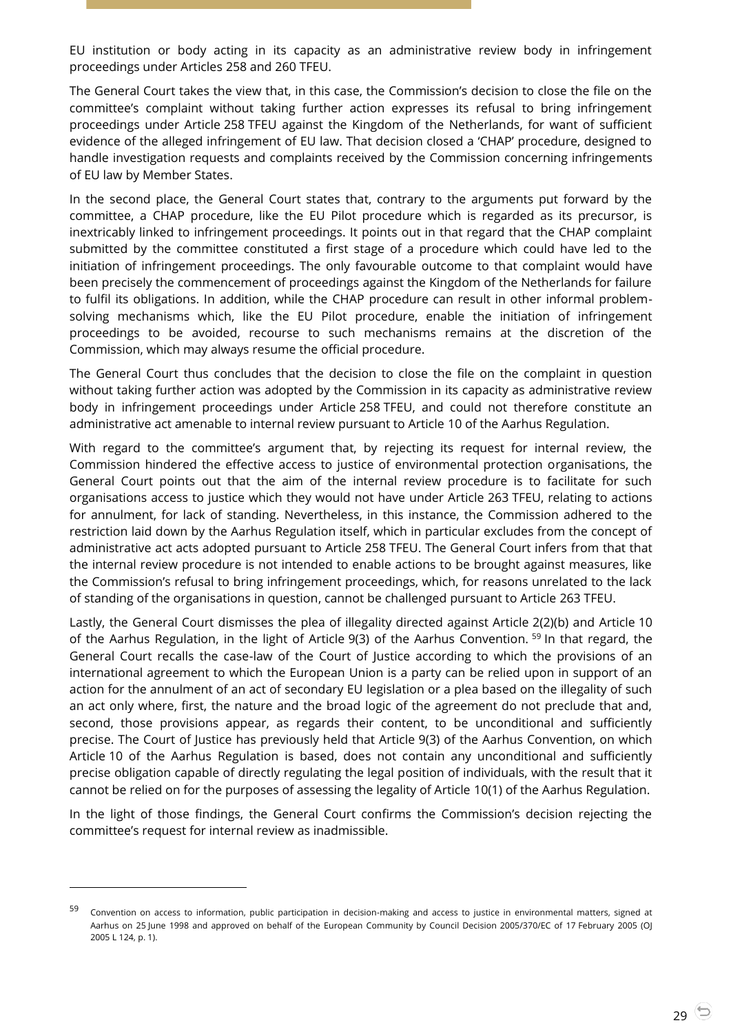EU institution or body acting in its capacity as an administrative review body in infringement proceedings under Articles 258 and 260 TFEU.

The General Court takes the view that, in this case, the Commission's decision to close the file on the committee's complaint without taking further action expresses its refusal to bring infringement proceedings under Article 258 TFEU against the Kingdom of the Netherlands, for want of sufficient evidence of the alleged infringement of EU law. That decision closed a 'CHAP' procedure, designed to handle investigation requests and complaints received by the Commission concerning infringements of EU law by Member States.

In the second place, the General Court states that, contrary to the arguments put forward by the committee, a CHAP procedure, like the EU Pilot procedure which is regarded as its precursor, is inextricably linked to infringement proceedings. It points out in that regard that the CHAP complaint submitted by the committee constituted a first stage of a procedure which could have led to the initiation of infringement proceedings. The only favourable outcome to that complaint would have been precisely the commencement of proceedings against the Kingdom of the Netherlands for failure to fulfil its obligations. In addition, while the CHAP procedure can result in other informal problemsolving mechanisms which, like the EU Pilot procedure, enable the initiation of infringement proceedings to be avoided, recourse to such mechanisms remains at the discretion of the Commission, which may always resume the official procedure.

The General Court thus concludes that the decision to close the file on the complaint in question without taking further action was adopted by the Commission in its capacity as administrative review body in infringement proceedings under Article 258 TFEU, and could not therefore constitute an administrative act amenable to internal review pursuant to Article 10 of the Aarhus Regulation.

With regard to the committee's argument that, by rejecting its request for internal review, the Commission hindered the effective access to justice of environmental protection organisations, the General Court points out that the aim of the internal review procedure is to facilitate for such organisations access to justice which they would not have under Article 263 TFEU, relating to actions for annulment, for lack of standing. Nevertheless, in this instance, the Commission adhered to the restriction laid down by the Aarhus Regulation itself, which in particular excludes from the concept of administrative act acts adopted pursuant to Article 258 TFEU. The General Court infers from that that the internal review procedure is not intended to enable actions to be brought against measures, like the Commission's refusal to bring infringement proceedings, which, for reasons unrelated to the lack of standing of the organisations in question, cannot be challenged pursuant to Article 263 TFEU.

Lastly, the General Court dismisses the plea of illegality directed against Article 2(2)(b) and Article 10 of the Aarhus Regulation, in the light of Article 9(3) of the Aarhus Convention. <sup>59</sup> In that regard, the General Court recalls the case-law of the Court of Justice according to which the provisions of an international agreement to which the European Union is a party can be relied upon in support of an action for the annulment of an act of secondary EU legislation or a plea based on the illegality of such an act only where, first, the nature and the broad logic of the agreement do not preclude that and, second, those provisions appear, as regards their content, to be unconditional and sufficiently precise. The Court of Justice has previously held that Article 9(3) of the Aarhus Convention, on which Article 10 of the Aarhus Regulation is based, does not contain any unconditional and sufficiently precise obligation capable of directly regulating the legal position of individuals, with the result that it cannot be relied on for the purposes of assessing the legality of Article 10(1) of the Aarhus Regulation.

In the light of those findings, the General Court confirms the Commission's decision rejecting the committee's request for internal review as inadmissible.

<sup>59</sup> Convention on access to information, public participation in decision-making and access to justice in environmental matters, signed at Aarhus on 25 June 1998 and approved on behalf of the European Community by Council Decision 2005/370/EC of 17 February 2005 (OJ 2005 L 124, p. 1).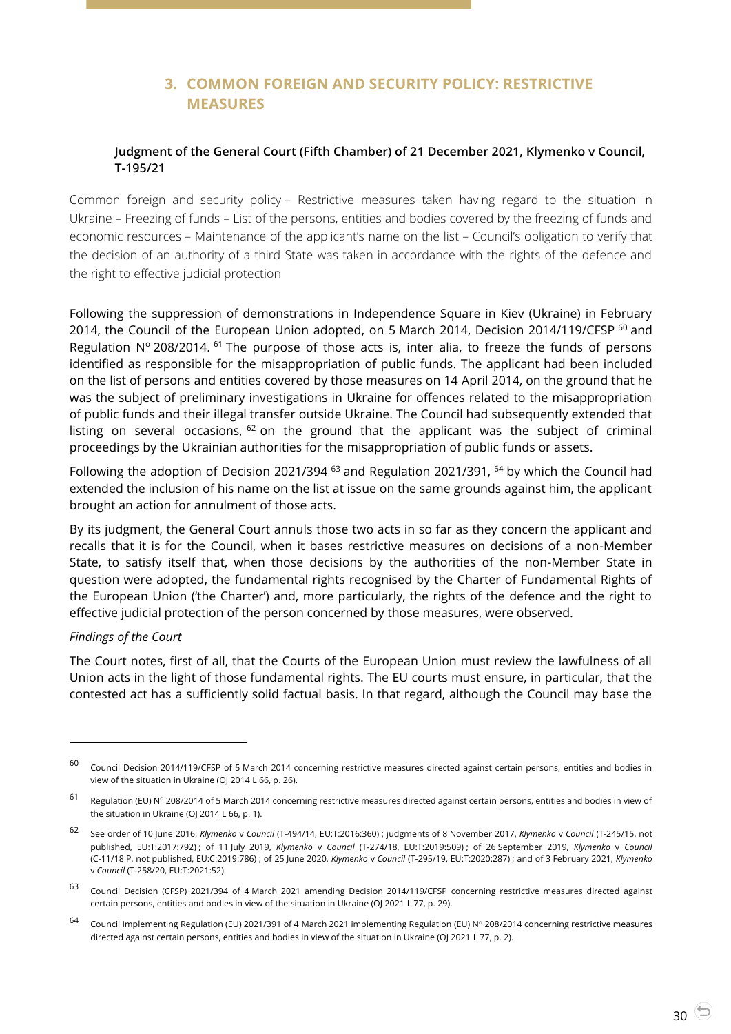# **3. COMMON FOREIGN AND SECURITY POLICY: RESTRICTIVE MEASURES**

#### <span id="page-29-1"></span><span id="page-29-0"></span>**Judgment of the General Court (Fifth Chamber) of 21 December 2021, Klymenko v Council, T-195/21**

Common foreign and security policy – Restrictive measures taken having regard to the situation in Ukraine – Freezing of funds – List of the persons, entities and bodies covered by the freezing of funds and economic resources – Maintenance of the applicant's name on the list – Council's obligation to verify that the decision of an authority of a third State was taken in accordance with the rights of the defence and the right to effective judicial protection

Following the suppression of demonstrations in Independence Square in Kiev (Ukraine) in February 2014, the Council of the European Union adopted, on 5 March 2014, Decision 2014/119/CFSP <sup>60</sup> and Regulation  $N^{\circ}$  208/2014. <sup>61</sup> The purpose of those acts is, inter alia, to freeze the funds of persons identified as responsible for the misappropriation of public funds. The applicant had been included on the list of persons and entities covered by those measures on 14 April 2014, on the ground that he was the subject of preliminary investigations in Ukraine for offences related to the misappropriation of public funds and their illegal transfer outside Ukraine. The Council had subsequently extended that listing on several occasions,  $62$  on the ground that the applicant was the subject of criminal proceedings by the Ukrainian authorities for the misappropriation of public funds or assets.

Following the adoption of Decision 2021/394  $63$  and Regulation 2021/391,  $64$  by which the Council had extended the inclusion of his name on the list at issue on the same grounds against him, the applicant brought an action for annulment of those acts.

By its judgment, the General Court annuls those two acts in so far as they concern the applicant and recalls that it is for the Council, when it bases restrictive measures on decisions of a non-Member State, to satisfy itself that, when those decisions by the authorities of the non-Member State in question were adopted, the fundamental rights recognised by the Charter of Fundamental Rights of the European Union ('the Charter') and, more particularly, the rights of the defence and the right to effective judicial protection of the person concerned by those measures, were observed.

#### *Findings of the Court*

 $\overline{a}$ 

The Court notes, first of all, that the Courts of the European Union must review the lawfulness of all Union acts in the light of those fundamental rights. The EU courts must ensure, in particular, that the contested act has a sufficiently solid factual basis. In that regard, although the Council may base the

 $60$  Council Decision 2014/119/CFSP of 5 March 2014 concerning restrictive measures directed against certain persons, entities and bodies in view of the situation in Ukraine (OJ 2014 L 66, p. 26).

<sup>61</sup> Regulation (EU) Nº 208/2014 of 5 March 2014 concerning restrictive measures directed against certain persons, entities and bodies in view of the situation in Ukraine (OJ 2014 L 66, p. 1).

<sup>62</sup> See order of 10 June 2016, *Klymenko* <sup>v</sup>*Council* (T-494/14, EU:T:2016:360) ; judgments of 8 November 2017, *Klymenko* <sup>v</sup>*Council* (T-245/15, not published, EU:T:2017:792) ; of 11 July 2019, *Klymenko* v *Council* (T-274/18, EU:T:2019:509) ; of 26 September 2019, *Klymenko* v *Council* (C-11/18 P, not published, EU:C:2019:786) ; of 25 June 2020, *Klymenko* v *Council* (T-295/19, EU:T:2020:287) ; and of 3 February 2021, *Klymenko* v *Council* (T-258/20, EU:T:2021:52).

<sup>63</sup> Council Decision (CFSP) 2021/394 of 4 March 2021 amending Decision 2014/119/CFSP concerning restrictive measures directed against certain persons, entities and bodies in view of the situation in Ukraine (OJ 2021 L 77, p. 29).

 $^{64}$  Council Implementing Regulation (EU) 2021/391 of 4 March 2021 implementing Regulation (EU) N° 208/2014 concerning restrictive measures directed against certain persons, entities and bodies in view of the situation in Ukraine (OJ 2021 L 77, p. 2).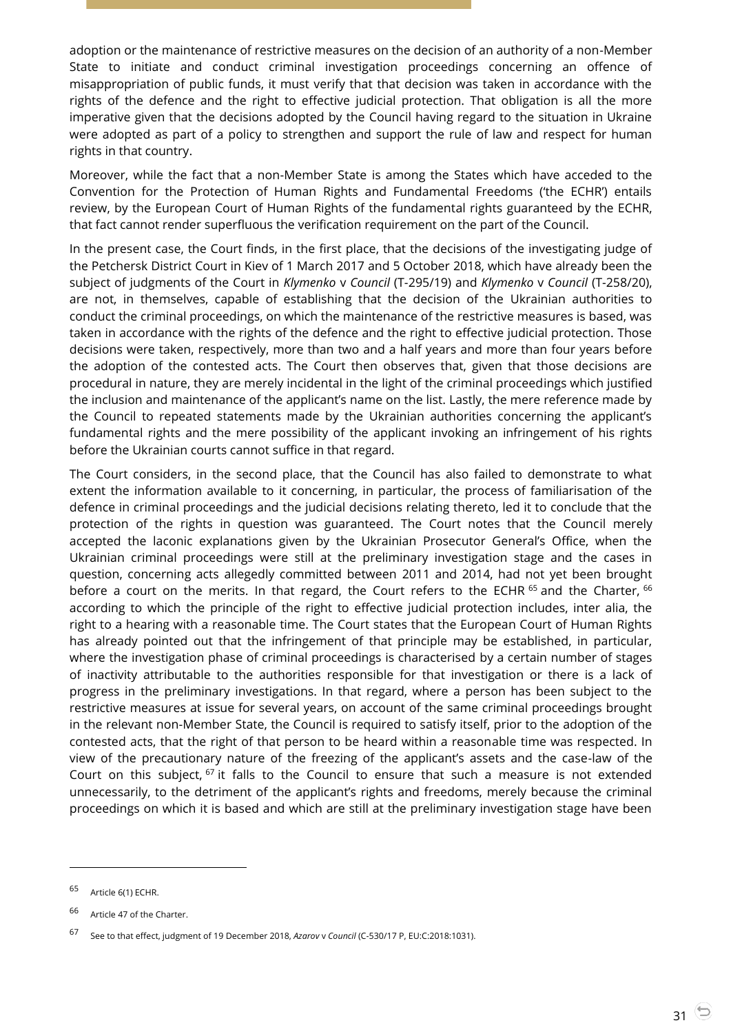adoption or the maintenance of restrictive measures on the decision of an authority of a non-Member State to initiate and conduct criminal investigation proceedings concerning an offence of misappropriation of public funds, it must verify that that decision was taken in accordance with the rights of the defence and the right to effective judicial protection. That obligation is all the more imperative given that the decisions adopted by the Council having regard to the situation in Ukraine were adopted as part of a policy to strengthen and support the rule of law and respect for human rights in that country.

Moreover, while the fact that a non-Member State is among the States which have acceded to the Convention for the Protection of Human Rights and Fundamental Freedoms ('the ECHR') entails review, by the European Court of Human Rights of the fundamental rights guaranteed by the ECHR, that fact cannot render superfluous the verification requirement on the part of the Council.

In the present case, the Court finds, in the first place, that the decisions of the investigating judge of the Petchersk District Court in Kiev of 1 March 2017 and 5 October 2018, which have already been the subject of judgments of the Court in *Klymenko* v *Council* (T-295/19) and *Klymenko* v *Council* (T-258/20), are not, in themselves, capable of establishing that the decision of the Ukrainian authorities to conduct the criminal proceedings, on which the maintenance of the restrictive measures is based, was taken in accordance with the rights of the defence and the right to effective judicial protection. Those decisions were taken, respectively, more than two and a half years and more than four years before the adoption of the contested acts. The Court then observes that, given that those decisions are procedural in nature, they are merely incidental in the light of the criminal proceedings which justified the inclusion and maintenance of the applicant's name on the list. Lastly, the mere reference made by the Council to repeated statements made by the Ukrainian authorities concerning the applicant's fundamental rights and the mere possibility of the applicant invoking an infringement of his rights before the Ukrainian courts cannot suffice in that regard.

The Court considers, in the second place, that the Council has also failed to demonstrate to what extent the information available to it concerning, in particular, the process of familiarisation of the defence in criminal proceedings and the judicial decisions relating thereto, led it to conclude that the protection of the rights in question was guaranteed. The Court notes that the Council merely accepted the laconic explanations given by the Ukrainian Prosecutor General's Office, when the Ukrainian criminal proceedings were still at the preliminary investigation stage and the cases in question, concerning acts allegedly committed between 2011 and 2014, had not yet been brought before a court on the merits. In that regard, the Court refers to the ECHR <sup>65</sup> and the Charter, <sup>66</sup> according to which the principle of the right to effective judicial protection includes, inter alia, the right to a hearing with a reasonable time. The Court states that the European Court of Human Rights has already pointed out that the infringement of that principle may be established, in particular, where the investigation phase of criminal proceedings is characterised by a certain number of stages of inactivity attributable to the authorities responsible for that investigation or there is a lack of progress in the preliminary investigations. In that regard, where a person has been subject to the restrictive measures at issue for several years, on account of the same criminal proceedings brought in the relevant non-Member State, the Council is required to satisfy itself, prior to the adoption of the contested acts, that the right of that person to be heard within a reasonable time was respected. In view of the precautionary nature of the freezing of the applicant's assets and the case-law of the Court on this subject,  $67$  it falls to the Council to ensure that such a measure is not extended unnecessarily, to the detriment of the applicant's rights and freedoms, merely because the criminal proceedings on which it is based and which are still at the preliminary investigation stage have been

<sup>65</sup> Article 6(1) ECHR.

<sup>66</sup> Article 47 of the Charter.

<sup>67</sup> See to that effect, judgment of 19 December 2018, *Azarov* <sup>v</sup>*Council* (C-530/17 P, EU:C:2018:1031).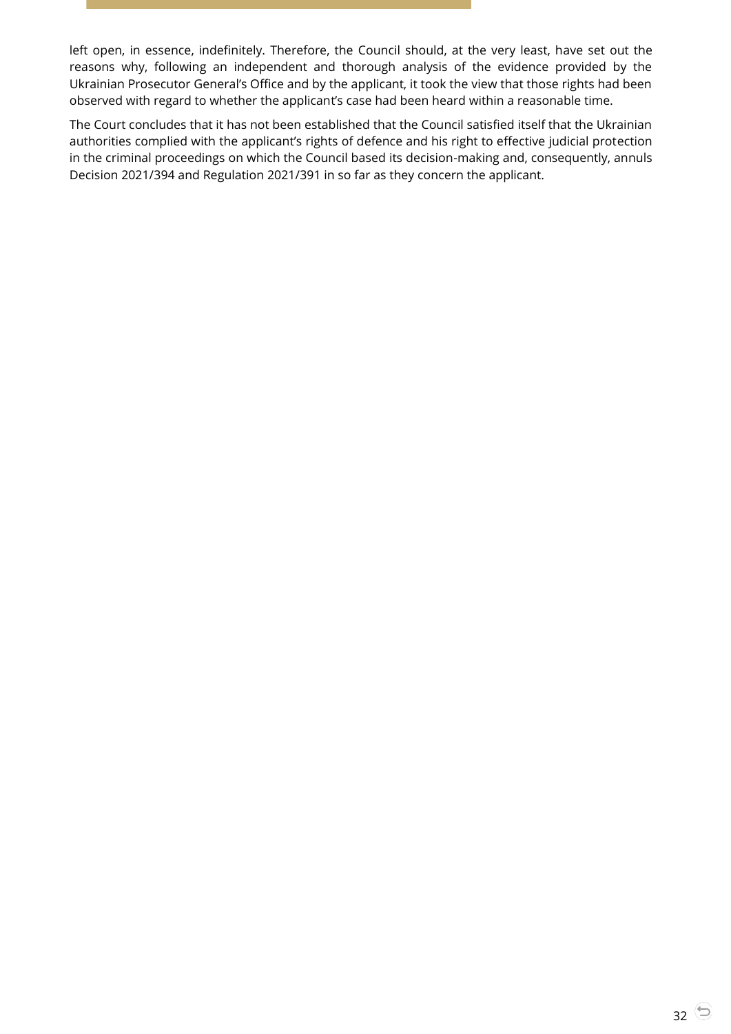left open, in essence, indefinitely. Therefore, the Council should, at the very least, have set out the reasons why, following an independent and thorough analysis of the evidence provided by the Ukrainian Prosecutor General's Office and by the applicant, it took the view that those rights had been observed with regard to whether the applicant's case had been heard within a reasonable time.

The Court concludes that it has not been established that the Council satisfied itself that the Ukrainian authorities complied with the applicant's rights of defence and his right to effective judicial protection in the criminal proceedings on which the Council based its decision-making and, consequently, annuls Decision 2021/394 and Regulation 2021/391 in so far as they concern the applicant.